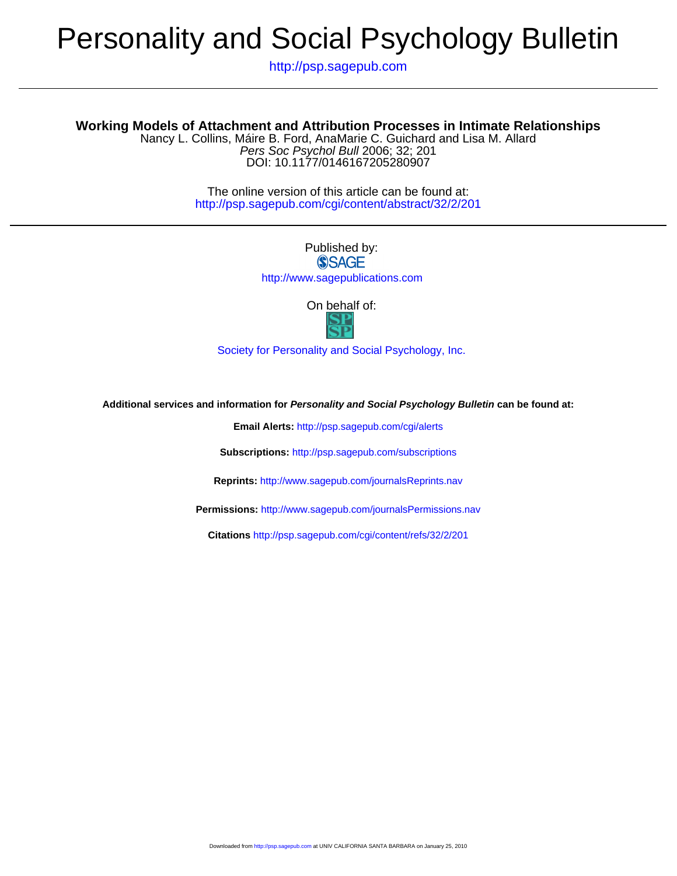# Personality and Social Psychology Bulletin

http://psp.sagepub.com

### **Working Models of Attachment and Attribution Processes in Intimate Relationships**

DOI: 10.1177/0146167205280907 Pers Soc Psychol Bull 2006; 32; 201 Nancy L. Collins, Máire B. Ford, AnaMarie C. Guichard and Lisa M. Allard

> http://psp.sagepub.com/cgi/content/abstract/32/2/201 The online version of this article can be found at:

## Published by: **SSAGE**

http://www.sagepublications.com

On behalf of:



[Society for Personality and Social Psychology, Inc.](http://www.spsp.org/)

**Additional services and information for Personality and Social Psychology Bulletin can be found at:**

**Email Alerts:** <http://psp.sagepub.com/cgi/alerts>

**Subscriptions:** <http://psp.sagepub.com/subscriptions>

**Reprints:** <http://www.sagepub.com/journalsReprints.nav>

**Permissions:** <http://www.sagepub.com/journalsPermissions.nav>

**Citations** <http://psp.sagepub.com/cgi/content/refs/32/2/201>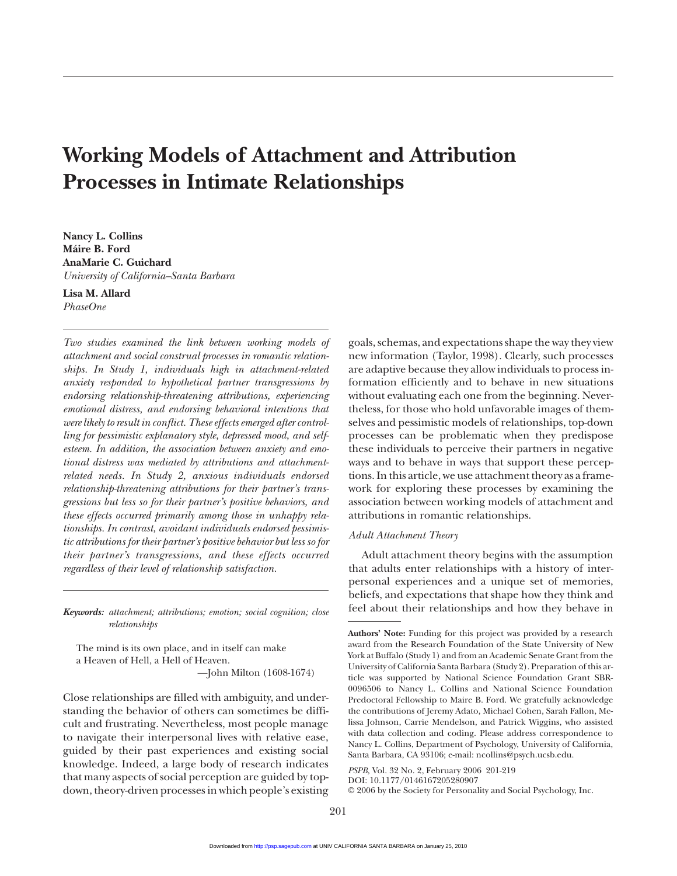# **Working Models of Attachment and Attribution Processes in Intimate Relationships**

**Nancy L. Collins Máire B. Ford AnaMarie C. Guichard** *University of California–Santa Barbara*

**Lisa M. Allard** *PhaseOne*

*Two studies examined the link between working models of attachment and social construal processes in romantic relationships. In Study 1, individuals high in attachment-related anxiety responded to hypothetical partner transgressions by endorsing relationship-threatening attributions, experiencing emotional distress, and endorsing behavioral intentions that were likely to result in conflict. These effects emerged after controlling for pessimistic explanatory style, depressed mood, and selfesteem. In addition, the association between anxiety and emotional distress was mediated by attributions and attachmentrelated needs. In Study 2, anxious individuals endorsed relationship-threatening attributions for their partner's transgressions but less so for their partner's positive behaviors, and these effects occurred primarily among those in unhappy relationships. In contrast, avoidant individuals endorsed pessimistic attributions for their partner's positive behavior but less so for their partner's transgressions, and these effects occurred regardless of their level of relationship satisfaction.*

*Keywords: attachment; attributions; emotion; social cognition; close relationships*

The mind is its own place, and in itself can make a Heaven of Hell, a Hell of Heaven. —John Milton (1608-1674)

Close relationships are filled with ambiguity, and understanding the behavior of others can sometimes be difficult and frustrating. Nevertheless, most people manage to navigate their interpersonal lives with relative ease, guided by their past experiences and existing social knowledge. Indeed, a large body of research indicates that many aspects of social perception are guided by topdown, theory-driven processes in which people's existing goals, schemas, and expectations shape the way they view new information (Taylor, 1998). Clearly, such processes are adaptive because they allow individuals to process information efficiently and to behave in new situations without evaluating each one from the beginning. Nevertheless, for those who hold unfavorable images of themselves and pessimistic models of relationships, top-down processes can be problematic when they predispose these individuals to perceive their partners in negative ways and to behave in ways that support these perceptions. In this article, we use attachment theory as a framework for exploring these processes by examining the association between working models of attachment and attributions in romantic relationships.

#### *Adult Attachment Theory*

Adult attachment theory begins with the assumption that adults enter relationships with a history of interpersonal experiences and a unique set of memories, beliefs, and expectations that shape how they think and feel about their relationships and how they behave in

*PSPB,* Vol. 32 No. 2, February 2006 201-219

DOI: 10.1177/0146167205280907

© 2006 by the Society for Personality and Social Psychology, Inc.

**Authors' Note:** Funding for this project was provided by a research award from the Research Foundation of the State University of New York at Buffalo (Study 1) and from an Academic Senate Grant from the University of California Santa Barbara (Study 2). Preparation of this article was supported by National Science Foundation Grant SBR-0096506 to Nancy L. Collins and National Science Foundation Predoctoral Fellowship to Maire B. Ford. We gratefully acknowledge the contributions of Jeremy Adato, Michael Cohen, Sarah Fallon, Melissa Johnson, Carrie Mendelson, and Patrick Wiggins, who assisted with data collection and coding. Please address correspondence to Nancy L. Collins, Department of Psychology, University of California, Santa Barbara, CA 93106; e-mail: ncollins@psych.ucsb.edu.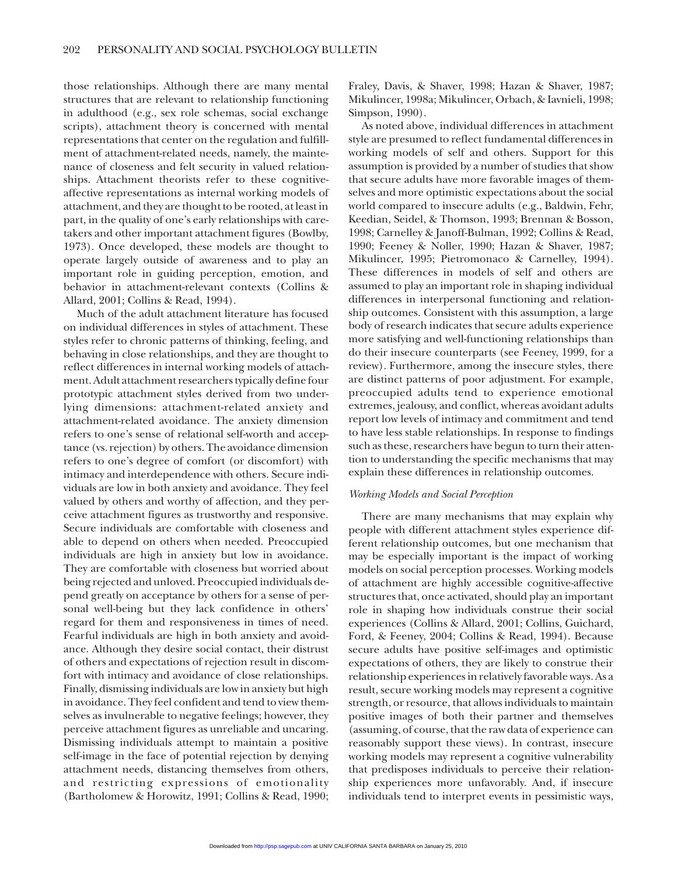those relationships. Although there are many mental structures that are relevant to relationship functioning in adulthood (e.g., sex role schemas, social exchange scripts), attachment theory is concerned with mental representations that center on the regulation and fulfillment of attachment-related needs, namely, the maintenance of closeness and felt security in valued relationships. Attachment theorists refer to these cognitiveaffective representations as internal working models of attachment, and they are thought to be rooted, at least in part, in the quality of one's early relationships with caretakers and other important attachment figures (Bowlby, 1973). Once developed, these models are thought to operate largely outside of awareness and to play an important role in guiding perception, emotion, and behavior in attachment-relevant contexts (Collins & Allard, 2001; Collins & Read, 1994).

Much of the adult attachment literature has focused on individual differences in styles of attachment. These styles refer to chronic patterns of thinking, feeling, and behaving in close relationships, and they are thought to reflect differences in internal working models of attachment. Adult attachment researchers typically define four prototypic attachment styles derived from two underlying dimensions: attachment-related anxiety and attachment-related avoidance. The anxiety dimension refers to one's sense of relational self-worth and acceptance (vs. rejection) by others. The avoidance dimension refers to one's degree of comfort (or discomfort) with intimacy and interdependence with others. Secure individuals are low in both anxiety and avoidance. They feel valued by others and worthy of affection, and they perceive attachment figures as trustworthy and responsive. Secure individuals are comfortable with closeness and able to depend on others when needed. Preoccupied individuals are high in anxiety but low in avoidance. They are comfortable with closeness but worried about being rejected and unloved. Preoccupied individuals depend greatly on acceptance by others for a sense of personal well-being but they lack confidence in others' regard for them and responsiveness in times of need. Fearful individuals are high in both anxiety and avoidance. Although they desire social contact, their distrust of others and expectations of rejection result in discomfort with intimacy and avoidance of close relationships. Finally, dismissing individuals are low in anxiety but high in avoidance. They feel confident and tend to view themselves as invulnerable to negative feelings; however, they perceive attachment figures as unreliable and uncaring. Dismissing individuals attempt to maintain a positive self-image in the face of potential rejection by denying attachment needs, distancing themselves from others, and restricting expressions of emotionality (Bartholomew & Horowitz, 1991; Collins & Read, 1990;

Fraley, Davis, & Shaver, 1998; Hazan & Shaver, 1987; Mikulincer, 1998a; Mikulincer, Orbach, & Iavnieli, 1998; Simpson, 1990).

As noted above, individual differences in attachment style are presumed to reflect fundamental differences in working models of self and others. Support for this assumption is provided by a number of studies that show that secure adults have more favorable images of themselves and more optimistic expectations about the social world compared to insecure adults (e.g., Baldwin, Fehr, Keedian, Seidel, & Thomson, 1993; Brennan & Bosson, 1998; Carnelley & Janoff-Bulman, 1992; Collins & Read, 1990; Feeney & Noller, 1990; Hazan & Shaver, 1987; Mikulincer, 1995; Pietromonaco & Carnelley, 1994). These differences in models of self and others are assumed to play an important role in shaping individual differences in interpersonal functioning and relationship outcomes. Consistent with this assumption, a large body of research indicates that secure adults experience more satisfying and well-functioning relationships than do their insecure counterparts (see Feeney, 1999, for a review). Furthermore, among the insecure styles, there are distinct patterns of poor adjustment. For example, preoccupied adults tend to experience emotional extremes, jealousy, and conflict, whereas avoidant adults report low levels of intimacy and commitment and tend to have less stable relationships. In response to findings such as these, researchers have begun to turn their attention to understanding the specific mechanisms that may explain these differences in relationship outcomes.

#### *Working Models and Social Perception*

There are many mechanisms that may explain why people with different attachment styles experience different relationship outcomes, but one mechanism that may be especially important is the impact of working models on social perception processes. Working models of attachment are highly accessible cognitive-affective structures that, once activated, should play an important role in shaping how individuals construe their social experiences (Collins & Allard, 2001; Collins, Guichard, Ford, & Feeney, 2004; Collins & Read, 1994). Because secure adults have positive self-images and optimistic expectations of others, they are likely to construe their relationship experiences in relatively favorable ways. As a result, secure working models may represent a cognitive strength, or resource, that allows individuals to maintain positive images of both their partner and themselves (assuming, of course, that the raw data of experience can reasonably support these views). In contrast, insecure working models may represent a cognitive vulnerability that predisposes individuals to perceive their relationship experiences more unfavorably. And, if insecure individuals tend to interpret events in pessimistic ways,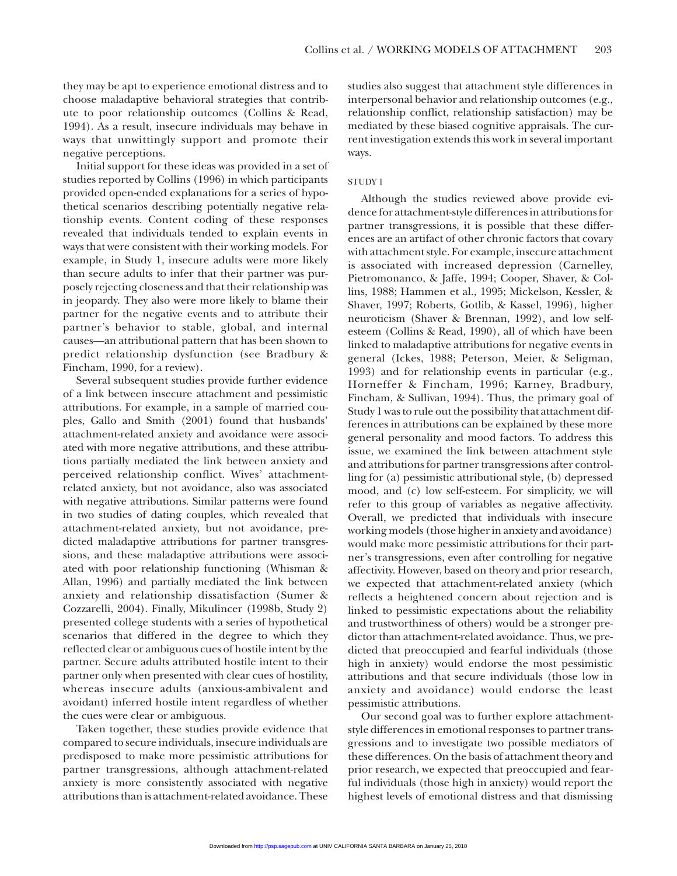they may be apt to experience emotional distress and to choose maladaptive behavioral strategies that contribute to poor relationship outcomes (Collins & Read, 1994). As a result, insecure individuals may behave in ways that unwittingly support and promote their negative perceptions.

Initial support for these ideas was provided in a set of studies reported by Collins (1996) in which participants provided open-ended explanations for a series of hypothetical scenarios describing potentially negative relationship events. Content coding of these responses revealed that individuals tended to explain events in ways that were consistent with their working models. For example, in Study 1, insecure adults were more likely than secure adults to infer that their partner was purposely rejecting closeness and that their relationship was in jeopardy. They also were more likely to blame their partner for the negative events and to attribute their partner's behavior to stable, global, and internal causes—an attributional pattern that has been shown to predict relationship dysfunction (see Bradbury & Fincham, 1990, for a review).

Several subsequent studies provide further evidence of a link between insecure attachment and pessimistic attributions. For example, in a sample of married couples, Gallo and Smith (2001) found that husbands' attachment-related anxiety and avoidance were associated with more negative attributions, and these attributions partially mediated the link between anxiety and perceived relationship conflict. Wives' attachmentrelated anxiety, but not avoidance, also was associated with negative attributions. Similar patterns were found in two studies of dating couples, which revealed that attachment-related anxiety, but not avoidance, predicted maladaptive attributions for partner transgressions, and these maladaptive attributions were associated with poor relationship functioning (Whisman & Allan, 1996) and partially mediated the link between anxiety and relationship dissatisfaction (Sumer & Cozzarelli, 2004). Finally, Mikulincer (1998b, Study 2) presented college students with a series of hypothetical scenarios that differed in the degree to which they reflected clear or ambiguous cues of hostile intent by the partner. Secure adults attributed hostile intent to their partner only when presented with clear cues of hostility, whereas insecure adults (anxious-ambivalent and avoidant) inferred hostile intent regardless of whether the cues were clear or ambiguous.

Taken together, these studies provide evidence that compared to secure individuals, insecure individuals are predisposed to make more pessimistic attributions for partner transgressions, although attachment-related anxiety is more consistently associated with negative attributions than is attachment-related avoidance. These studies also suggest that attachment style differences in interpersonal behavior and relationship outcomes (e.g., relationship conflict, relationship satisfaction) may be mediated by these biased cognitive appraisals. The current investigation extends this work in several important ways.

#### STUDY 1

Although the studies reviewed above provide evidence for attachment-style differences in attributions for partner transgressions, it is possible that these differences are an artifact of other chronic factors that covary with attachment style. For example, insecure attachment is associated with increased depression (Carnelley, Pietromonanco, & Jaffe, 1994; Cooper, Shaver, & Collins, 1988; Hammen et al., 1995; Mickelson, Kessler, & Shaver, 1997; Roberts, Gotlib, & Kassel, 1996), higher neuroticism (Shaver & Brennan, 1992), and low selfesteem (Collins & Read, 1990), all of which have been linked to maladaptive attributions for negative events in general (Ickes, 1988; Peterson, Meier, & Seligman, 1993) and for relationship events in particular (e.g., Horneffer & Fincham, 1996; Karney, Bradbury, Fincham, & Sullivan, 1994). Thus, the primary goal of Study 1 was to rule out the possibility that attachment differences in attributions can be explained by these more general personality and mood factors. To address this issue, we examined the link between attachment style and attributions for partner transgressions after controlling for (a) pessimistic attributional style, (b) depressed mood, and (c) low self-esteem. For simplicity, we will refer to this group of variables as negative affectivity. Overall, we predicted that individuals with insecure working models (those higher in anxiety and avoidance) would make more pessimistic attributions for their partner's transgressions, even after controlling for negative affectivity. However, based on theory and prior research, we expected that attachment-related anxiety (which reflects a heightened concern about rejection and is linked to pessimistic expectations about the reliability and trustworthiness of others) would be a stronger predictor than attachment-related avoidance. Thus, we predicted that preoccupied and fearful individuals (those high in anxiety) would endorse the most pessimistic attributions and that secure individuals (those low in anxiety and avoidance) would endorse the least pessimistic attributions.

Our second goal was to further explore attachmentstyle differences in emotional responses to partner transgressions and to investigate two possible mediators of these differences. On the basis of attachment theory and prior research, we expected that preoccupied and fearful individuals (those high in anxiety) would report the highest levels of emotional distress and that dismissing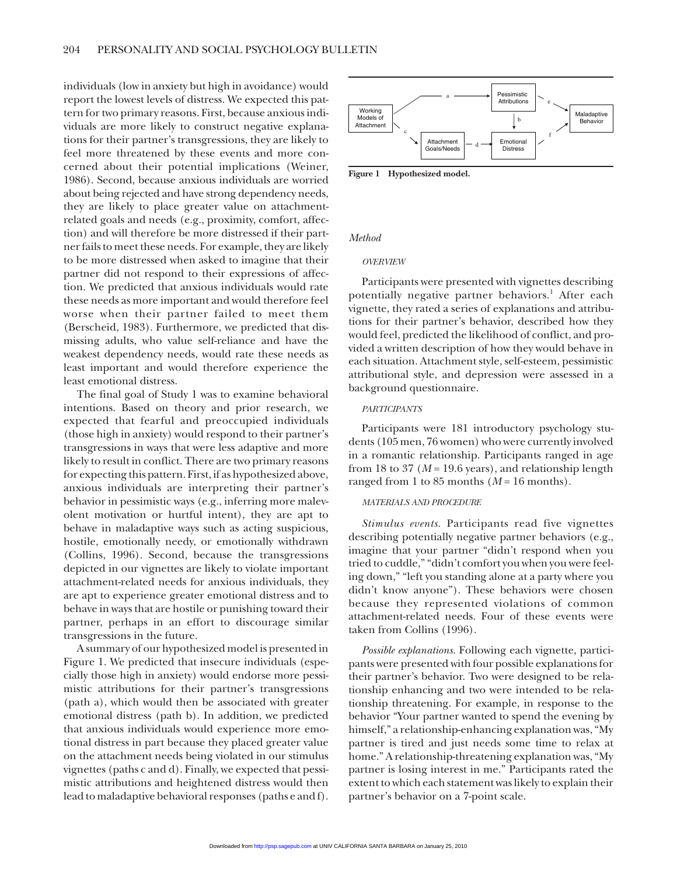individuals (low in anxiety but high in avoidance) would report the lowest levels of distress. We expected this pattern for two primary reasons. First, because anxious individuals are more likely to construct negative explanations for their partner's transgressions, they are likely to feel more threatened by these events and more concerned about their potential implications (Weiner, 1986). Second, because anxious individuals are worried about being rejected and have strong dependency needs, they are likely to place greater value on attachmentrelated goals and needs (e.g., proximity, comfort, affection) and will therefore be more distressed if their partner fails to meet these needs. For example, they are likely to be more distressed when asked to imagine that their partner did not respond to their expressions of affection. We predicted that anxious individuals would rate these needs as more important and would therefore feel worse when their partner failed to meet them (Berscheid, 1983). Furthermore, we predicted that dismissing adults, who value self-reliance and have the weakest dependency needs, would rate these needs as least important and would therefore experience the least emotional distress.

The final goal of Study 1 was to examine behavioral intentions. Based on theory and prior research, we expected that fearful and preoccupied individuals (those high in anxiety) would respond to their partner's transgressions in ways that were less adaptive and more likely to result in conflict. There are two primary reasons for expecting this pattern. First, if as hypothesized above, anxious individuals are interpreting their partner's behavior in pessimistic ways (e.g., inferring more malevolent motivation or hurtful intent), they are apt to behave in maladaptive ways such as acting suspicious, hostile, emotionally needy, or emotionally withdrawn (Collins, 1996). Second, because the transgressions depicted in our vignettes are likely to violate important attachment-related needs for anxious individuals, they are apt to experience greater emotional distress and to behave in ways that are hostile or punishing toward their partner, perhaps in an effort to discourage similar transgressions in the future.

A summary of our hypothesized model is presented in Figure 1. We predicted that insecure individuals (especially those high in anxiety) would endorse more pessimistic attributions for their partner's transgressions (path a), which would then be associated with greater emotional distress (path b). In addition, we predicted that anxious individuals would experience more emotional distress in part because they placed greater value on the attachment needs being violated in our stimulus vignettes (paths c and d). Finally, we expected that pessimistic attributions and heightened distress would then lead to maladaptive behavioral responses (paths e and f).



**Figure 1 Hypothesized model.**

#### *Method*

#### *OVERVIEW*

Participants were presented with vignettes describing potentially negative partner behaviors.<sup>1</sup> After each vignette, they rated a series of explanations and attributions for their partner's behavior, described how they would feel, predicted the likelihood of conflict, and provided a written description of how they would behave in each situation. Attachment style, self-esteem, pessimistic attributional style, and depression were assessed in a background questionnaire.

#### *PARTICIPANTS*

Participants were 181 introductory psychology students (105 men, 76 women) who were currently involved in a romantic relationship. Participants ranged in age from 18 to 37 ( $M = 19.6$  years), and relationship length ranged from 1 to 85 months  $(M = 16$  months).

#### *MATERIALS AND PROCEDURE*

*Stimulus events*. Participants read five vignettes describing potentially negative partner behaviors (e.g., imagine that your partner "didn't respond when you tried to cuddle," "didn't comfort you when you were feeling down," "left you standing alone at a party where you didn't know anyone"). These behaviors were chosen because they represented violations of common attachment-related needs. Four of these events were taken from Collins (1996).

*Possible explanations*. Following each vignette, participants were presented with four possible explanations for their partner's behavior. Two were designed to be relationship enhancing and two were intended to be relationship threatening. For example, in response to the behavior "Your partner wanted to spend the evening by himself," a relationship-enhancing explanation was, "My partner is tired and just needs some time to relax at home." A relationship-threatening explanation was, "My partner is losing interest in me." Participants rated the extent to which each statement was likely to explain their partner's behavior on a 7-point scale.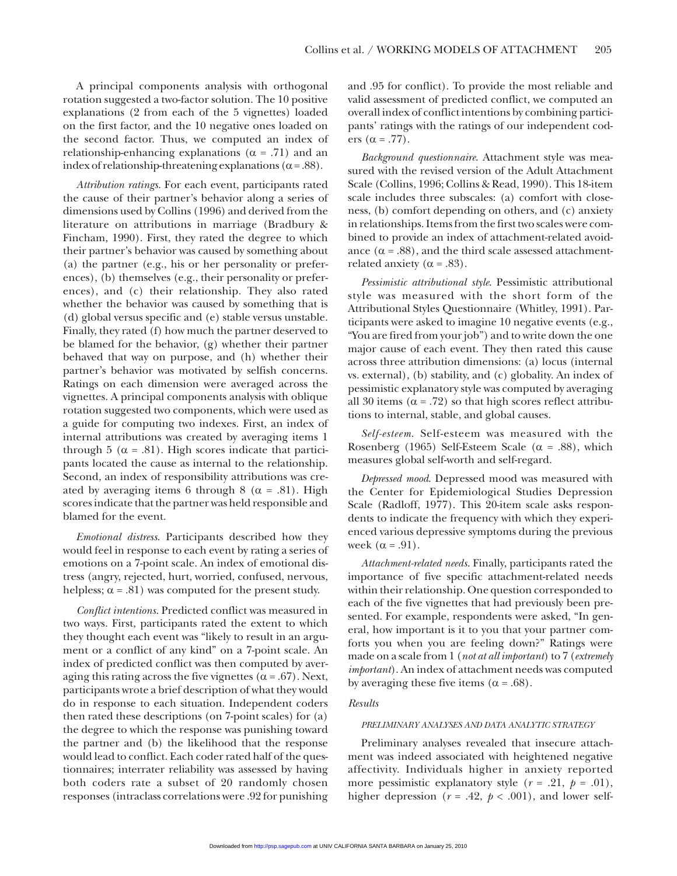A principal components analysis with orthogonal rotation suggested a two-factor solution. The 10 positive explanations (2 from each of the 5 vignettes) loaded on the first factor, and the 10 negative ones loaded on the second factor. Thus, we computed an index of relationship-enhancing explanations ( $\alpha$  = .71) and an index of relationship-threatening explanations ( $\alpha$  = .88).

*Attribution ratings*. For each event, participants rated the cause of their partner's behavior along a series of dimensions used by Collins (1996) and derived from the literature on attributions in marriage (Bradbury & Fincham, 1990). First, they rated the degree to which their partner's behavior was caused by something about (a) the partner (e.g., his or her personality or preferences), (b) themselves (e.g., their personality or preferences), and (c) their relationship. They also rated whether the behavior was caused by something that is (d) global versus specific and (e) stable versus unstable. Finally, they rated (f) how much the partner deserved to be blamed for the behavior, (g) whether their partner behaved that way on purpose, and (h) whether their partner's behavior was motivated by selfish concerns. Ratings on each dimension were averaged across the vignettes. A principal components analysis with oblique rotation suggested two components, which were used as a guide for computing two indexes. First, an index of internal attributions was created by averaging items 1 through 5 ( $\alpha$  = .81). High scores indicate that participants located the cause as internal to the relationship. Second, an index of responsibility attributions was created by averaging items 6 through 8 ( $\alpha$  = .81). High scores indicate that the partner was held responsible and blamed for the event.

*Emotional distress*. Participants described how they would feel in response to each event by rating a series of emotions on a 7-point scale. An index of emotional distress (angry, rejected, hurt, worried, confused, nervous, helpless;  $\alpha$  = .81) was computed for the present study.

*Conflict intentions*. Predicted conflict was measured in two ways. First, participants rated the extent to which they thought each event was "likely to result in an argument or a conflict of any kind" on a 7-point scale. An index of predicted conflict was then computed by averaging this rating across the five vignettes ( $\alpha$  = .67). Next, participants wrote a brief description of what they would do in response to each situation. Independent coders then rated these descriptions (on 7-point scales) for (a) the degree to which the response was punishing toward the partner and (b) the likelihood that the response would lead to conflict. Each coder rated half of the questionnaires; interrater reliability was assessed by having both coders rate a subset of 20 randomly chosen responses (intraclass correlations were .92 for punishing and .95 for conflict). To provide the most reliable and valid assessment of predicted conflict, we computed an overall index of conflict intentions by combining participants' ratings with the ratings of our independent coders  $(\alpha = .77)$ .

*Background questionnaire*. Attachment style was measured with the revised version of the Adult Attachment Scale (Collins, 1996; Collins & Read, 1990). This 18-item scale includes three subscales: (a) comfort with closeness, (b) comfort depending on others, and (c) anxiety in relationships. Items from the first two scales were combined to provide an index of attachment-related avoidance ( $\alpha$  = .88), and the third scale assessed attachmentrelated anxiety ( $\alpha = .83$ ).

*Pessimistic attributional style*. Pessimistic attributional style was measured with the short form of the Attributional Styles Questionnaire (Whitley, 1991). Participants were asked to imagine 10 negative events (e.g., "You are fired from your job") and to write down the one major cause of each event. They then rated this cause across three attribution dimensions: (a) locus (internal vs. external), (b) stability, and (c) globality. An index of pessimistic explanatory style was computed by averaging all 30 items ( $\alpha$  = .72) so that high scores reflect attributions to internal, stable, and global causes.

*Self-esteem*. Self-esteem was measured with the Rosenberg (1965) Self-Esteem Scale ( $\alpha = .88$ ), which measures global self-worth and self-regard.

*Depressed mood*. Depressed mood was measured with the Center for Epidemiological Studies Depression Scale (Radloff, 1977). This 20-item scale asks respondents to indicate the frequency with which they experienced various depressive symptoms during the previous week  $(\alpha = .91)$ .

*Attachment-related needs*. Finally, participants rated the importance of five specific attachment-related needs within their relationship. One question corresponded to each of the five vignettes that had previously been presented. For example, respondents were asked, "In general, how important is it to you that your partner comforts you when you are feeling down?" Ratings were made on a scale from 1 (*not at all important*) to 7 (*extremely important*). An index of attachment needs was computed by averaging these five items ( $\alpha = .68$ ).

#### *Results*

#### *PRELIMINARY ANALYSES AND DATA ANALYTIC STRATEGY*

Preliminary analyses revealed that insecure attachment was indeed associated with heightened negative affectivity. Individuals higher in anxiety reported more pessimistic explanatory style  $(r = .21, p = .01)$ , higher depression ( $r = .42$ ,  $p < .001$ ), and lower self-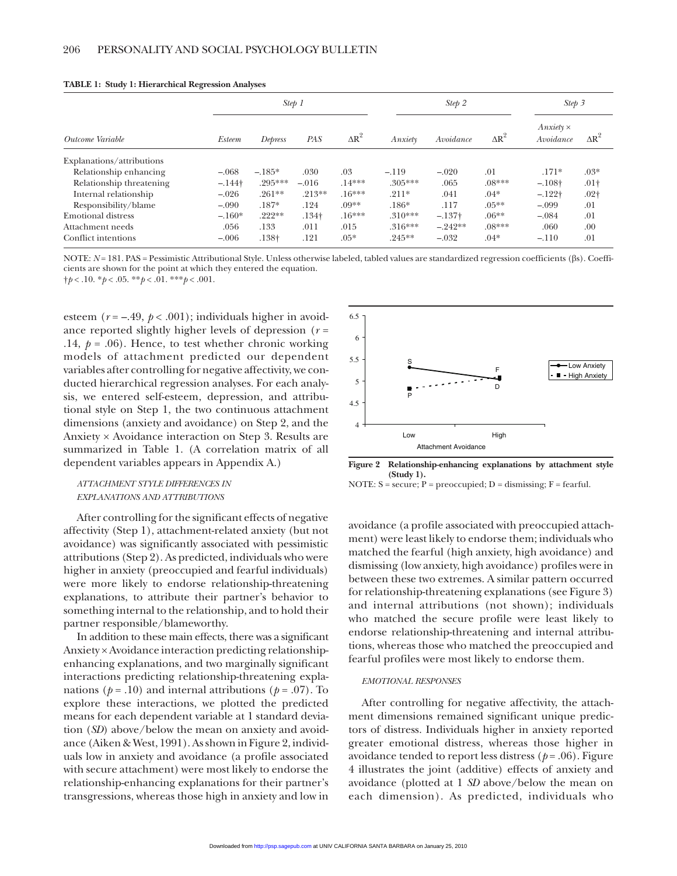|                           |                |                   | Step 1              |          |           | Step 2                    | Step 3   |                               |              |
|---------------------------|----------------|-------------------|---------------------|----------|-----------|---------------------------|----------|-------------------------------|--------------|
| Outcome Variable          | <b>Esteem</b>  | Depress           | $\Delta R^2$<br>PAS |          | Anxiety   | $\Delta R^2$<br>Avoidance |          | $Anxiety \times$<br>Avoidance | $\Delta R^2$ |
| Explanations/attributions |                |                   |                     |          |           |                           |          |                               |              |
| Relationship enhancing    | $-.068$        | $-.185*$          | .030                | .03      | $-.119$   | $-.020$                   | .01      | $.171*$                       | $.03*$       |
| Relationship threatening  | $-.144\dagger$ | $.295***$         | $-.016$             | $.14***$ | $.305***$ | .065                      | $.08***$ | $-.108+$                      | $.01+$       |
| Internal relationship     | $-.026$        | $.261**$          | $.213**$            | $.16***$ | $.211*$   | .041                      | $.04*$   | $-.122+$                      | $.02+$       |
| Responsibility/blame      | $-.090$        | $.187*$           | .124                | $.09**$  | $.186*$   | .117                      | $.05***$ | $-.099$                       | .01          |
| Emotional distress        | $-.160*$       | $.222**$          | .134 <sup>†</sup>   | $.16***$ | $.310***$ | $-.137+$                  | $.06***$ | $-.084$                       | .01          |
| Attachment needs          | .056           | .133              | .011                | .015     | $316***$  | $-.242**$                 | $.08***$ | .060                          | .00.         |
| Conflict intentions       | $-.006$        | .138 <sup>†</sup> | .121                | $.05*$   | $.245***$ | $-.032$                   | $.04*$   | $-.110$                       | .01          |

NOTE:  $N=181$ . PAS = Pessimistic Attributional Style. Unless otherwise labeled, tabled values are standardized regression coefficients ( $\beta s$ ). Coefficients are shown for the point at which they entered the equation.

†*p* < .10. \**p* < .05. \*\**p* < .01. \*\*\**p* < .001.

esteem  $(r = -.49, p < .001)$ ; individuals higher in avoidance reported slightly higher levels of depression (*r* = .14,  $p = .06$ ). Hence, to test whether chronic working models of attachment predicted our dependent variables after controlling for negative affectivity, we conducted hierarchical regression analyses. For each analysis, we entered self-esteem, depression, and attributional style on Step 1, the two continuous attachment dimensions (anxiety and avoidance) on Step 2, and the Anxiety - Avoidance interaction on Step 3. Results are summarized in Table 1. (A correlation matrix of all dependent variables appears in Appendix A.)

#### *ATTACHMENT STYLE DIFFERENCES IN EXPLANATIONS AND ATTRIBUTIONS*

After controlling for the significant effects of negative affectivity (Step 1), attachment-related anxiety (but not avoidance) was significantly associated with pessimistic attributions (Step 2). As predicted, individuals who were higher in anxiety (preoccupied and fearful individuals) were more likely to endorse relationship-threatening explanations, to attribute their partner's behavior to something internal to the relationship, and to hold their partner responsible/blameworthy.

In addition to these main effects, there was a significant Anxiety -Avoidance interaction predicting relationshipenhancing explanations, and two marginally significant interactions predicting relationship-threatening explanations ( $p = .10$ ) and internal attributions ( $p = .07$ ). To explore these interactions, we plotted the predicted means for each dependent variable at 1 standard deviation (*SD*) above/below the mean on anxiety and avoidance (Aiken & West, 1991). As shown in Figure 2, individuals low in anxiety and avoidance (a profile associated with secure attachment) were most likely to endorse the relationship-enhancing explanations for their partner's transgressions, whereas those high in anxiety and low in



**Figure 2 Relationship-enhancing explanations by attachment style (Study 1).**

NOTE:  $S =$  secure;  $P =$  preoccupied;  $D =$  dismissing;  $F =$  fearful.

avoidance (a profile associated with preoccupied attachment) were least likely to endorse them; individuals who matched the fearful (high anxiety, high avoidance) and dismissing (low anxiety, high avoidance) profiles were in between these two extremes. A similar pattern occurred for relationship-threatening explanations (see Figure 3) and internal attributions (not shown); individuals who matched the secure profile were least likely to endorse relationship-threatening and internal attributions, whereas those who matched the preoccupied and fearful profiles were most likely to endorse them.

#### *EMOTIONAL RESPONSES*

After controlling for negative affectivity, the attachment dimensions remained significant unique predictors of distress. Individuals higher in anxiety reported greater emotional distress, whereas those higher in avoidance tended to report less distress  $(p = .06)$ . Figure 4 illustrates the joint (additive) effects of anxiety and avoidance (plotted at 1 *SD* above/below the mean on each dimension). As predicted, individuals who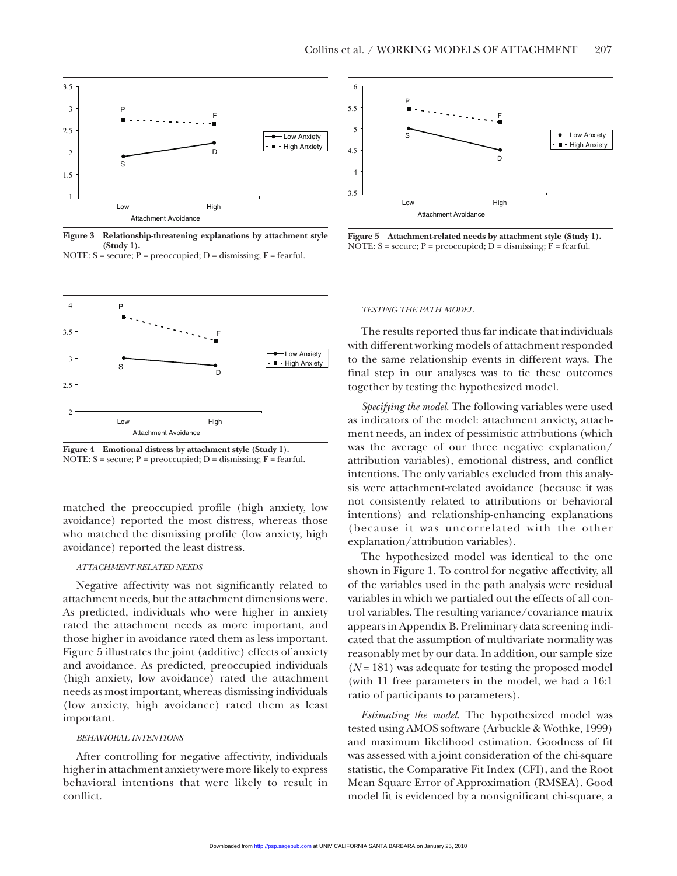

**Figure 3 Relationship-threatening explanations by attachment style (Study 1).** NOTE:  $S =$  secure;  $P =$  preoccupied;  $D =$  dismissing;  $F =$  fearful.

 $\overline{2}$ 2.5 3 3.5 4 Low High Attachment Avoidance Low Anxiety - High Anxiety P F D

**Figure 4 Emotional distress by attachment style (Study 1).** NOTE:  $S =$  secure;  $P =$  preoccupied;  $D =$  dismissing;  $F =$  fearful.

matched the preoccupied profile (high anxiety, low avoidance) reported the most distress, whereas those who matched the dismissing profile (low anxiety, high avoidance) reported the least distress.

#### *ATTACHMENT-RELATED NEEDS*

Negative affectivity was not significantly related to attachment needs, but the attachment dimensions were. As predicted, individuals who were higher in anxiety rated the attachment needs as more important, and those higher in avoidance rated them as less important. Figure 5 illustrates the joint (additive) effects of anxiety and avoidance. As predicted, preoccupied individuals (high anxiety, low avoidance) rated the attachment needs as most important, whereas dismissing individuals (low anxiety, high avoidance) rated them as least important.

#### *BEHAVIORAL INTENTIONS*

After controlling for negative affectivity, individuals higher in attachment anxiety were more likely to express behavioral intentions that were likely to result in conflict.



**Figure 5 Attachment-related needs by attachment style (Study 1).** NOTE:  $S =$  secure;  $P =$  preoccupied;  $D =$  dismissing;  $F =$  fearful.

#### *TESTING THE PATH MODEL*

The results reported thus far indicate that individuals with different working models of attachment responded to the same relationship events in different ways. The final step in our analyses was to tie these outcomes together by testing the hypothesized model.

*Specifying the model*. The following variables were used as indicators of the model: attachment anxiety, attachment needs, an index of pessimistic attributions (which was the average of our three negative explanation/ attribution variables), emotional distress, and conflict intentions. The only variables excluded from this analysis were attachment-related avoidance (because it was not consistently related to attributions or behavioral intentions) and relationship-enhancing explanations (because it was uncorrelated with the other explanation/attribution variables).

The hypothesized model was identical to the one shown in Figure 1. To control for negative affectivity, all of the variables used in the path analysis were residual variables in which we partialed out the effects of all control variables. The resulting variance/covariance matrix appears in Appendix B. Preliminary data screening indicated that the assumption of multivariate normality was reasonably met by our data. In addition, our sample size  $(N = 181)$  was adequate for testing the proposed model (with 11 free parameters in the model, we had a 16:1 ratio of participants to parameters).

*Estimating the model*. The hypothesized model was tested using AMOS software (Arbuckle & Wothke, 1999) and maximum likelihood estimation. Goodness of fit was assessed with a joint consideration of the chi-square statistic, the Comparative Fit Index (CFI), and the Root Mean Square Error of Approximation (RMSEA). Good model fit is evidenced by a nonsignificant chi-square, a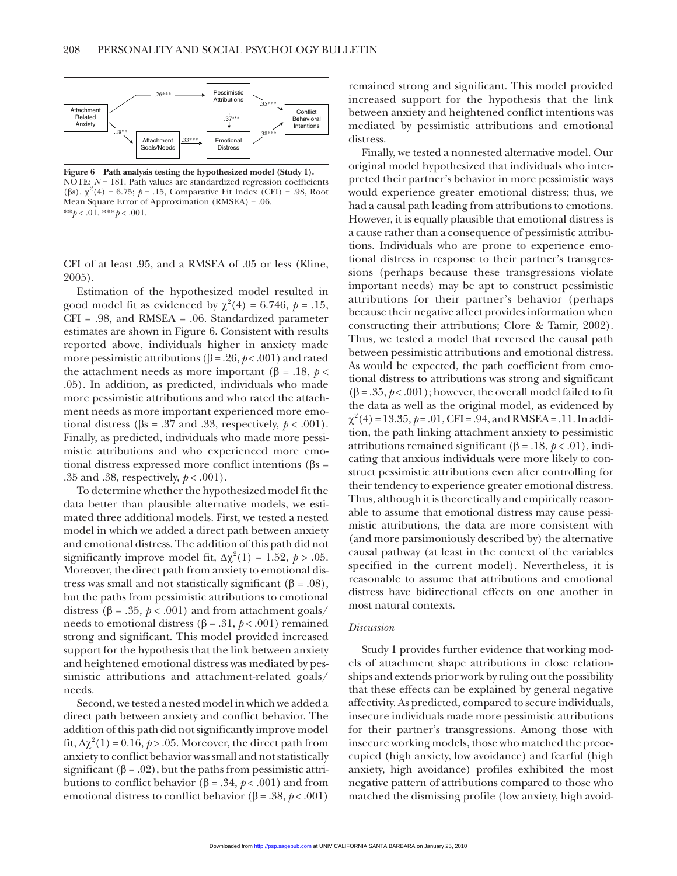

**Figure 6 Path analysis testing the hypothesized model (Study 1).** NOTE:  $N = 181$ . Path values are standardized regression coefficients ( $\beta$ s).  $\chi^2(4) = 6.75$ ;  $p = .15$ , Comparative Fit Index (CFI) = .98, Root Mean Square Error of Approximation (RMSEA) = .06. \*\**p* < .01. \*\*\**p* < .001.

CFI of at least .95, and a RMSEA of .05 or less (Kline, 2005).

Estimation of the hypothesized model resulted in good model fit as evidenced by  $\chi^2(4) = 6.746$ ,  $p = .15$ ,  $CFI = .98$ , and RMSEA = .06. Standardized parameter estimates are shown in Figure 6. Consistent with results reported above, individuals higher in anxiety made more pessimistic attributions ( $\beta$  = .26,  $\beta$  < .001) and rated the attachment needs as more important ( $\beta = .18$ ,  $p <$ .05). In addition, as predicted, individuals who made more pessimistic attributions and who rated the attachment needs as more important experienced more emotional distress ( $\beta$ s = .37 and .33, respectively,  $p < .001$ ). Finally, as predicted, individuals who made more pessimistic attributions and who experienced more emotional distress expressed more conflict intentions ( $\beta s =$ .35 and .38, respectively, *p* < .001).

To determine whether the hypothesized model fit the data better than plausible alternative models, we estimated three additional models. First, we tested a nested model in which we added a direct path between anxiety and emotional distress. The addition of this path did not significantly improve model fit,  $\Delta \chi^2(1) = 1.52$ ,  $p > .05$ . Moreover, the direct path from anxiety to emotional distress was small and not statistically significant ( $\beta = .08$ ), but the paths from pessimistic attributions to emotional distress ( $\beta = .35$ ,  $p < .001$ ) and from attachment goals/ needs to emotional distress ( $\beta$  = .31,  $\beta$  < .001) remained strong and significant. This model provided increased support for the hypothesis that the link between anxiety and heightened emotional distress was mediated by pessimistic attributions and attachment-related goals/ needs.

Second, we tested a nested model in which we added a direct path between anxiety and conflict behavior. The addition of this path did not significantly improve model fit,  $\Delta \chi^2(1) = 0.16$ ,  $p > .05$ . Moreover, the direct path from anxiety to conflict behavior was small and not statistically significant ( $\beta = .02$ ), but the paths from pessimistic attributions to conflict behavior ( $β = .34, β < .001$ ) and from emotional distress to conflict behavior ( $\beta$  = .38,  $\gamma$  < .001) remained strong and significant. This model provided increased support for the hypothesis that the link between anxiety and heightened conflict intentions was mediated by pessimistic attributions and emotional distress.

Finally, we tested a nonnested alternative model. Our original model hypothesized that individuals who interpreted their partner's behavior in more pessimistic ways would experience greater emotional distress; thus, we had a causal path leading from attributions to emotions. However, it is equally plausible that emotional distress is a cause rather than a consequence of pessimistic attributions. Individuals who are prone to experience emotional distress in response to their partner's transgressions (perhaps because these transgressions violate important needs) may be apt to construct pessimistic attributions for their partner's behavior (perhaps because their negative affect provides information when constructing their attributions; Clore & Tamir, 2002). Thus, we tested a model that reversed the causal path between pessimistic attributions and emotional distress. As would be expected, the path coefficient from emotional distress to attributions was strong and significant  $(\beta = .35, \, \rho < .001)$ ; however, the overall model failed to fit the data as well as the original model, as evidenced by  $\chi^2(4) = 13.35, p = .01, CFI = .94, and RMSEA = .11. In addition,$ tion, the path linking attachment anxiety to pessimistic attributions remained significant ( $\beta$  = .18,  $p < .01$ ), indicating that anxious individuals were more likely to construct pessimistic attributions even after controlling for their tendency to experience greater emotional distress. Thus, although it is theoretically and empirically reasonable to assume that emotional distress may cause pessimistic attributions, the data are more consistent with (and more parsimoniously described by) the alternative causal pathway (at least in the context of the variables specified in the current model). Nevertheless, it is reasonable to assume that attributions and emotional distress have bidirectional effects on one another in most natural contexts.

#### *Discussion*

Study 1 provides further evidence that working models of attachment shape attributions in close relationships and extends prior work by ruling out the possibility that these effects can be explained by general negative affectivity. As predicted, compared to secure individuals, insecure individuals made more pessimistic attributions for their partner's transgressions. Among those with insecure working models, those who matched the preoccupied (high anxiety, low avoidance) and fearful (high anxiety, high avoidance) profiles exhibited the most negative pattern of attributions compared to those who matched the dismissing profile (low anxiety, high avoid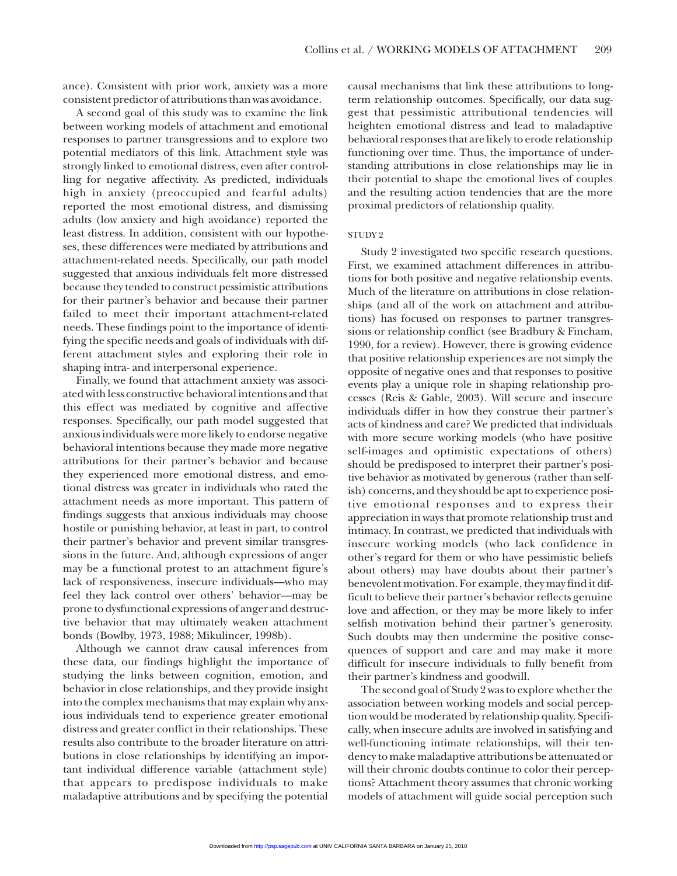ance). Consistent with prior work, anxiety was a more consistent predictor of attributions than was avoidance.

A second goal of this study was to examine the link between working models of attachment and emotional responses to partner transgressions and to explore two potential mediators of this link. Attachment style was strongly linked to emotional distress, even after controlling for negative affectivity. As predicted, individuals high in anxiety (preoccupied and fearful adults) reported the most emotional distress, and dismissing adults (low anxiety and high avoidance) reported the least distress. In addition, consistent with our hypotheses, these differences were mediated by attributions and attachment-related needs. Specifically, our path model suggested that anxious individuals felt more distressed because they tended to construct pessimistic attributions for their partner's behavior and because their partner failed to meet their important attachment-related needs. These findings point to the importance of identifying the specific needs and goals of individuals with different attachment styles and exploring their role in shaping intra- and interpersonal experience.

Finally, we found that attachment anxiety was associated with less constructive behavioral intentions and that this effect was mediated by cognitive and affective responses. Specifically, our path model suggested that anxious individuals were more likely to endorse negative behavioral intentions because they made more negative attributions for their partner's behavior and because they experienced more emotional distress, and emotional distress was greater in individuals who rated the attachment needs as more important. This pattern of findings suggests that anxious individuals may choose hostile or punishing behavior, at least in part, to control their partner's behavior and prevent similar transgressions in the future. And, although expressions of anger may be a functional protest to an attachment figure's lack of responsiveness, insecure individuals—who may feel they lack control over others' behavior—may be prone to dysfunctional expressions of anger and destructive behavior that may ultimately weaken attachment bonds (Bowlby, 1973, 1988; Mikulincer, 1998b).

Although we cannot draw causal inferences from these data, our findings highlight the importance of studying the links between cognition, emotion, and behavior in close relationships, and they provide insight into the complex mechanisms that may explain why anxious individuals tend to experience greater emotional distress and greater conflict in their relationships. These results also contribute to the broader literature on attributions in close relationships by identifying an important individual difference variable (attachment style) that appears to predispose individuals to make maladaptive attributions and by specifying the potential causal mechanisms that link these attributions to longterm relationship outcomes. Specifically, our data suggest that pessimistic attributional tendencies will heighten emotional distress and lead to maladaptive behavioral responses that are likely to erode relationship functioning over time. Thus, the importance of understanding attributions in close relationships may lie in their potential to shape the emotional lives of couples and the resulting action tendencies that are the more proximal predictors of relationship quality.

STUDY 2

Study 2 investigated two specific research questions. First, we examined attachment differences in attributions for both positive and negative relationship events. Much of the literature on attributions in close relationships (and all of the work on attachment and attributions) has focused on responses to partner transgressions or relationship conflict (see Bradbury & Fincham, 1990, for a review). However, there is growing evidence that positive relationship experiences are not simply the opposite of negative ones and that responses to positive events play a unique role in shaping relationship processes (Reis & Gable, 2003). Will secure and insecure individuals differ in how they construe their partner's acts of kindness and care? We predicted that individuals with more secure working models (who have positive self-images and optimistic expectations of others) should be predisposed to interpret their partner's positive behavior as motivated by generous (rather than selfish) concerns, and they should be apt to experience positive emotional responses and to express their appreciation in ways that promote relationship trust and intimacy. In contrast, we predicted that individuals with insecure working models (who lack confidence in other's regard for them or who have pessimistic beliefs about others) may have doubts about their partner's benevolent motivation. For example, they may find it difficult to believe their partner's behavior reflects genuine love and affection, or they may be more likely to infer selfish motivation behind their partner's generosity. Such doubts may then undermine the positive consequences of support and care and may make it more difficult for insecure individuals to fully benefit from their partner's kindness and goodwill.

The second goal of Study 2 was to explore whether the association between working models and social perception would be moderated by relationship quality. Specifically, when insecure adults are involved in satisfying and well-functioning intimate relationships, will their tendency to make maladaptive attributions be attenuated or will their chronic doubts continue to color their perceptions? Attachment theory assumes that chronic working models of attachment will guide social perception such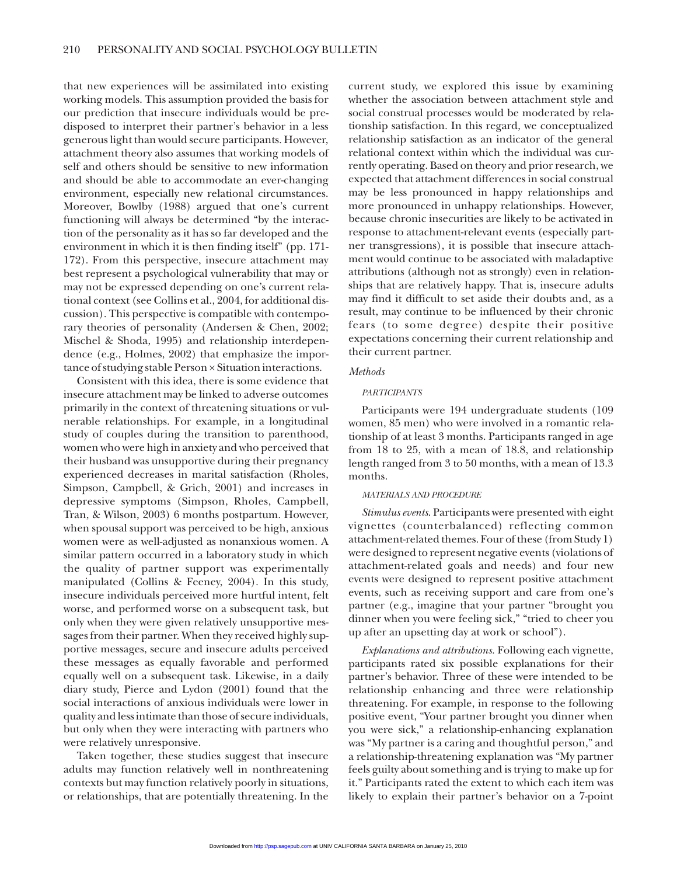that new experiences will be assimilated into existing working models. This assumption provided the basis for our prediction that insecure individuals would be predisposed to interpret their partner's behavior in a less generous light than would secure participants. However, attachment theory also assumes that working models of self and others should be sensitive to new information and should be able to accommodate an ever-changing environment, especially new relational circumstances. Moreover, Bowlby (1988) argued that one's current functioning will always be determined "by the interaction of the personality as it has so far developed and the environment in which it is then finding itself" (pp. 171- 172). From this perspective, insecure attachment may best represent a psychological vulnerability that may or may not be expressed depending on one's current relational context (see Collins et al., 2004, for additional discussion). This perspective is compatible with contemporary theories of personality (Andersen & Chen, 2002; Mischel & Shoda, 1995) and relationship interdependence (e.g., Holmes, 2002) that emphasize the importance of studying stable Person x Situation interactions.

Consistent with this idea, there is some evidence that insecure attachment may be linked to adverse outcomes primarily in the context of threatening situations or vulnerable relationships. For example, in a longitudinal study of couples during the transition to parenthood, women who were high in anxiety and who perceived that their husband was unsupportive during their pregnancy experienced decreases in marital satisfaction (Rholes, Simpson, Campbell, & Grich, 2001) and increases in depressive symptoms (Simpson, Rholes, Campbell, Tran, & Wilson, 2003) 6 months postpartum. However, when spousal support was perceived to be high, anxious women were as well-adjusted as nonanxious women. A similar pattern occurred in a laboratory study in which the quality of partner support was experimentally manipulated (Collins & Feeney, 2004). In this study, insecure individuals perceived more hurtful intent, felt worse, and performed worse on a subsequent task, but only when they were given relatively unsupportive messages from their partner. When they received highly supportive messages, secure and insecure adults perceived these messages as equally favorable and performed equally well on a subsequent task. Likewise, in a daily diary study, Pierce and Lydon (2001) found that the social interactions of anxious individuals were lower in quality and less intimate than those of secure individuals, but only when they were interacting with partners who were relatively unresponsive.

Taken together, these studies suggest that insecure adults may function relatively well in nonthreatening contexts but may function relatively poorly in situations, or relationships, that are potentially threatening. In the current study, we explored this issue by examining whether the association between attachment style and social construal processes would be moderated by relationship satisfaction. In this regard, we conceptualized relationship satisfaction as an indicator of the general relational context within which the individual was currently operating. Based on theory and prior research, we expected that attachment differences in social construal may be less pronounced in happy relationships and more pronounced in unhappy relationships. However, because chronic insecurities are likely to be activated in response to attachment-relevant events (especially partner transgressions), it is possible that insecure attachment would continue to be associated with maladaptive attributions (although not as strongly) even in relationships that are relatively happy. That is, insecure adults may find it difficult to set aside their doubts and, as a result, may continue to be influenced by their chronic fears (to some degree) despite their positive expectations concerning their current relationship and their current partner.

#### *Methods*

#### *PARTICIPANTS*

Participants were 194 undergraduate students (109 women, 85 men) who were involved in a romantic relationship of at least 3 months. Participants ranged in age from 18 to 25, with a mean of 18.8, and relationship length ranged from 3 to 50 months, with a mean of 13.3 months.

#### *MATERIALS AND PROCEDURE*

*Stimulus events*. Participants were presented with eight vignettes (counterbalanced) reflecting common attachment-related themes. Four of these (from Study 1) were designed to represent negative events (violations of attachment-related goals and needs) and four new events were designed to represent positive attachment events, such as receiving support and care from one's partner (e.g., imagine that your partner "brought you dinner when you were feeling sick," "tried to cheer you up after an upsetting day at work or school").

*Explanations and attributions.* Following each vignette, participants rated six possible explanations for their partner's behavior. Three of these were intended to be relationship enhancing and three were relationship threatening. For example, in response to the following positive event, "Your partner brought you dinner when you were sick," a relationship-enhancing explanation was "My partner is a caring and thoughtful person," and a relationship-threatening explanation was "My partner feels guilty about something and is trying to make up for it." Participants rated the extent to which each item was likely to explain their partner's behavior on a 7-point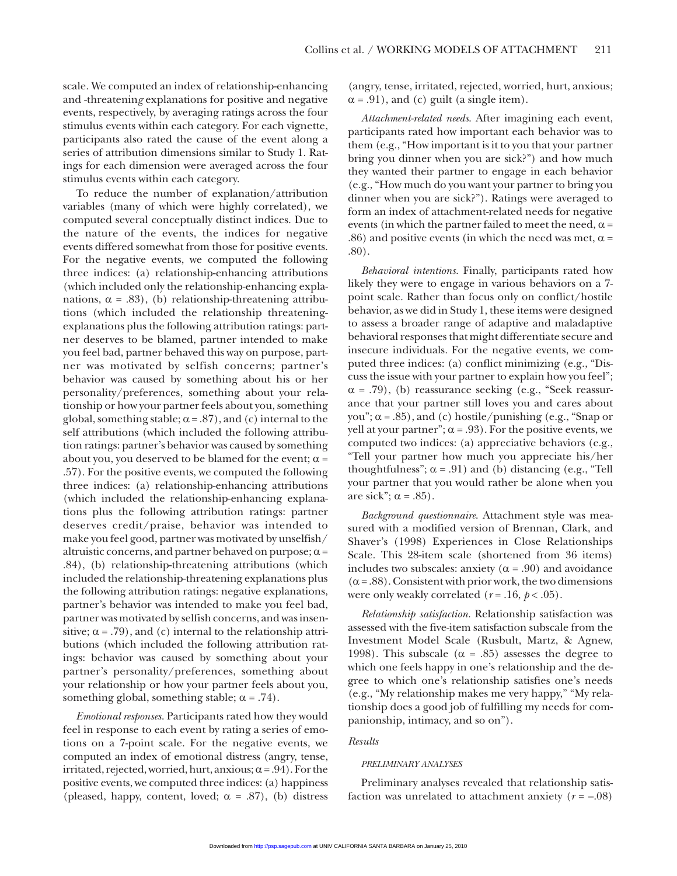scale. We computed an index of relationship-enhancing and -threatenin*g* explanations for positive and negative events, respectively, by averaging ratings across the four stimulus events within each category. For each vignette, participants also rated the cause of the event along a series of attribution dimensions similar to Study 1. Ratings for each dimension were averaged across the four stimulus events within each category.

To reduce the number of explanation/attribution variables (many of which were highly correlated), we computed several conceptually distinct indices. Due to the nature of the events, the indices for negative events differed somewhat from those for positive events. For the negative events, we computed the following three indices: (a) relationship-enhancing attributions (which included only the relationship-enhancing explanations,  $\alpha = .83$ , (b) relationship-threatening attributions (which included the relationship threateningexplanations plus the following attribution ratings: partner deserves to be blamed, partner intended to make you feel bad, partner behaved this way on purpose, partner was motivated by selfish concerns; partner's behavior was caused by something about his or her personality/preferences, something about your relationship or how your partner feels about you, something global, something stable;  $\alpha = .87$ ), and (c) internal to the self attributions (which included the following attribution ratings: partner's behavior was caused by something about you, you deserved to be blamed for the event;  $\alpha$  = .57). For the positive events, we computed the following three indices: (a) relationship-enhancing attributions (which included the relationship-enhancing explanations plus the following attribution ratings: partner deserves credit/praise, behavior was intended to make you feel good, partner was motivated by unselfish/ altruistic concerns, and partner behaved on purpose;  $\alpha$  = .84), (b) relationship-threatening attributions (which included the relationship-threatening explanations plus the following attribution ratings: negative explanations, partner's behavior was intended to make you feel bad, partner was motivated by selfish concerns, and was insensitive;  $\alpha = .79$ , and (c) internal to the relationship attributions (which included the following attribution ratings: behavior was caused by something about your partner's personality/preferences, something about your relationship or how your partner feels about you, something global, something stable;  $\alpha = .74$ ).

*Emotional responses*. Participants rated how they would feel in response to each event by rating a series of emotions on a 7-point scale. For the negative events, we computed an index of emotional distress (angry, tense, irritated, rejected, worried, hurt, anxious;  $\alpha$  = .94). For the positive events, we computed three indices: (a) happiness (pleased, happy, content, loved;  $\alpha = .87$ ), (b) distress

(angry, tense, irritated, rejected, worried, hurt, anxious;  $\alpha$  = .91), and (c) guilt (a single item).

*Attachment-related needs*. After imagining each event, participants rated how important each behavior was to them (e.g., "How important is it to you that your partner bring you dinner when you are sick?") and how much they wanted their partner to engage in each behavior (e.g., "How much do you want your partner to bring you dinner when you are sick?"). Ratings were averaged to form an index of attachment-related needs for negative events (in which the partner failed to meet the need,  $\alpha$  = .86) and positive events (in which the need was met,  $\alpha$  = .80).

*Behavioral intentions*. Finally, participants rated how likely they were to engage in various behaviors on a 7 point scale. Rather than focus only on conflict/hostile behavior, as we did in Study 1, these items were designed to assess a broader range of adaptive and maladaptive behavioral responses that might differentiate secure and insecure individuals. For the negative events, we computed three indices: (a) conflict minimizing (e.g., "Discuss the issue with your partner to explain how you feel";  $\alpha$  = .79), (b) reassurance seeking (e.g., "Seek reassurance that your partner still loves you and cares about you";  $\alpha$  = .85), and (c) hostile/punishing (e.g., "Snap or yell at your partner";  $\alpha$  = .93). For the positive events, we computed two indices: (a) appreciative behaviors (e.g., "Tell your partner how much you appreciate his/her thoughtfulness";  $\alpha$  = .91) and (b) distancing (e.g., "Tell your partner that you would rather be alone when you are sick";  $\alpha = .85$ ).

*Background questionnaire*. Attachment style was measured with a modified version of Brennan, Clark, and Shaver's (1998) Experiences in Close Relationships Scale. This 28-item scale (shortened from 36 items) includes two subscales: anxiety ( $\alpha$  = .90) and avoidance  $(\alpha = .88)$ . Consistent with prior work, the two dimensions were only weakly correlated  $(r = .16, p < .05)$ .

*Relationship satisfaction*. Relationship satisfaction was assessed with the five-item satisfaction subscale from the Investment Model Scale (Rusbult, Martz, & Agnew, 1998). This subscale ( $\alpha = .85$ ) assesses the degree to which one feels happy in one's relationship and the degree to which one's relationship satisfies one's needs (e.g., "My relationship makes me very happy," "My relationship does a good job of fulfilling my needs for companionship, intimacy, and so on").

#### *Results*

#### *PRELIMINARY ANALYSES*

Preliminary analyses revealed that relationship satisfaction was unrelated to attachment anxiety  $(r = -.08)$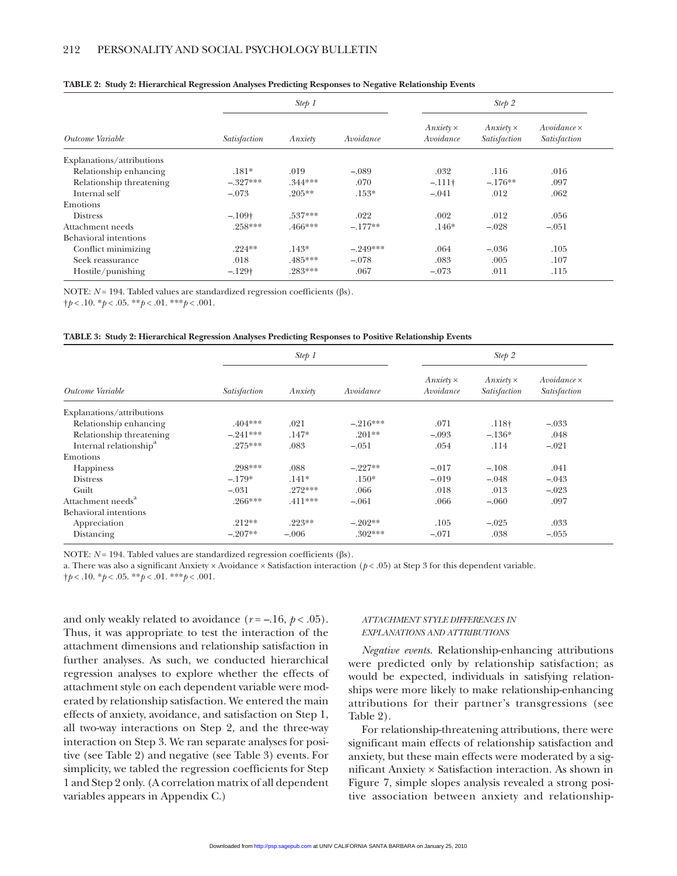|                           |                     | Step 1    |            | Step 2                        |                                         |                                            |  |  |
|---------------------------|---------------------|-----------|------------|-------------------------------|-----------------------------------------|--------------------------------------------|--|--|
| Outcome Variable          | <b>Satisfaction</b> | Anxiety   | Avoidance  | $Anxiety \times$<br>Avoidance | $Anxiety \times$<br><b>Satisfaction</b> | $A voidance \times$<br><b>Satisfaction</b> |  |  |
| Explanations/attributions |                     |           |            |                               |                                         |                                            |  |  |
| Relationship enhancing    | $.181*$             | .019      | $-.089$    | .032                          | .116                                    | .016                                       |  |  |
| Relationship threatening  | $-.327***$          | $.344***$ | .070       | $-.111+$                      | $-.176**$                               | .097                                       |  |  |
| Internal self             | $-.073$             | $.205**$  | $.153*$    | $-.041$                       | .012                                    | .062                                       |  |  |
| <b>Emotions</b>           |                     |           |            |                               |                                         |                                            |  |  |
| <b>Distress</b>           | $-.109+$            | $.537***$ | .022       | .002                          | .012                                    | .056                                       |  |  |
| Attachment needs          | .258***             | $.466***$ | $-.177**$  | $.146*$                       | $-.028$                                 | $-.051$                                    |  |  |
| Behavioral intentions     |                     |           |            |                               |                                         |                                            |  |  |
| Conflict minimizing       | $.224**$            | $.143*$   | $-.249***$ | .064                          | $-.036$                                 | .105                                       |  |  |
| Seek reassurance          | .018                | .485***   | $-.078$    | .083                          | .005                                    | .107                                       |  |  |
| Hostile/punishing         | $-.129+$            | .283***   | .067       | $-.073$                       | .011                                    | .115                                       |  |  |

#### **TABLE 2: Study 2: Hierarchical Regression Analyses Predicting Responses to Negative Relationship Events**

NOTE:  $N = 194$ . Tabled values are standardized regression coefficients ( $\beta s$ ).

†*p* < .10. \**p* < .05. \*\**p* < .01. \*\*\**p* < .001.

|                                    |                     | Step 1    |            | Step 2                        |                                  |                                     |  |  |
|------------------------------------|---------------------|-----------|------------|-------------------------------|----------------------------------|-------------------------------------|--|--|
| Outcome Variable                   | <b>Satisfaction</b> | Anxiety   |            | $Anxiety \times$<br>Avoidance | $Anxiety \times$<br>Satisfaction | $A voidance \times$<br>Satisfaction |  |  |
| Explanations/attributions          |                     |           |            |                               |                                  |                                     |  |  |
| Relationship enhancing             | $.404***$           | .021      | $-.216***$ | .071                          | .118 <sup>†</sup>                | $-.033$                             |  |  |
| Relationship threatening           | $-.241***$          | $.147*$   | $.201**$   | $-.093$                       | $-.136*$                         | .048                                |  |  |
| Internal relationship <sup>a</sup> | $.275***$           | .083      | $-.051$    | .054                          | .114                             | $-.021$                             |  |  |
| Emotions                           |                     |           |            |                               |                                  |                                     |  |  |
| Happiness                          | .298***             | .088      | $-.227**$  | $-.017$                       | $-.108$                          | .041                                |  |  |
| <b>Distress</b>                    | $-.179*$            | $.141*$   | $.150*$    | $-.019$                       | $-.048$                          | $-.043$                             |  |  |
| Guilt                              | $-.031$             | $.272***$ | .066       | .018                          | .013                             | $-.023$                             |  |  |
| Attachment needs <sup>a</sup>      | $.266***$           | $.411***$ | $-.061$    | .066                          | $-.060$                          | .097                                |  |  |
| Behavioral intentions              |                     |           |            |                               |                                  |                                     |  |  |
| Appreciation                       | $.212**$            | $.223**$  | $-.202**$  | .105                          | $-.025$                          | .033                                |  |  |
| Distancing                         | $-.207**$           | $-.006$   | $.302***$  | $-.071$                       | .038                             | $-.055$                             |  |  |

NOTE:  $N = 194$ . Tabled values are standardized regression coefficients ( $\beta s$ ).

a. There was also a significant Anxiety  $\times$  Avoidance  $\times$  Satisfaction interaction ( $p$  < .05) at Step 3 for this dependent variable. †*p* < .10. \**p* < .05. \*\**p* < .01. \*\*\**p* < .001.

and only weakly related to avoidance  $(r = -.16, p < .05)$ . Thus, it was appropriate to test the interaction of the attachment dimensions and relationship satisfaction in further analyses. As such, we conducted hierarchical regression analyses to explore whether the effects of attachment style on each dependent variable were moderated by relationship satisfaction. We entered the main effects of anxiety, avoidance, and satisfaction on Step 1, all two-way interactions on Step 2, and the three-way interaction on Step 3. We ran separate analyses for positive (see Table 2) and negative (see Table 3) events. For simplicity, we tabled the regression coefficients for Step 1 and Step 2 only. (A correlation matrix of all dependent variables appears in Appendix C.)

#### *ATTACHMENT STYLE DIFFERENCES IN EXPLANATIONS AND ATTRIBUTIONS*

*Negative events*. Relationship-enhancing attributions were predicted only by relationship satisfaction; as would be expected, individuals in satisfying relationships were more likely to make relationship-enhancing attributions for their partner's transgressions (see Table 2).

For relationship-threatening attributions, there were significant main effects of relationship satisfaction and anxiety, but these main effects were moderated by a significant Anxiety - Satisfaction interaction. As shown in Figure 7, simple slopes analysis revealed a strong positive association between anxiety and relationship-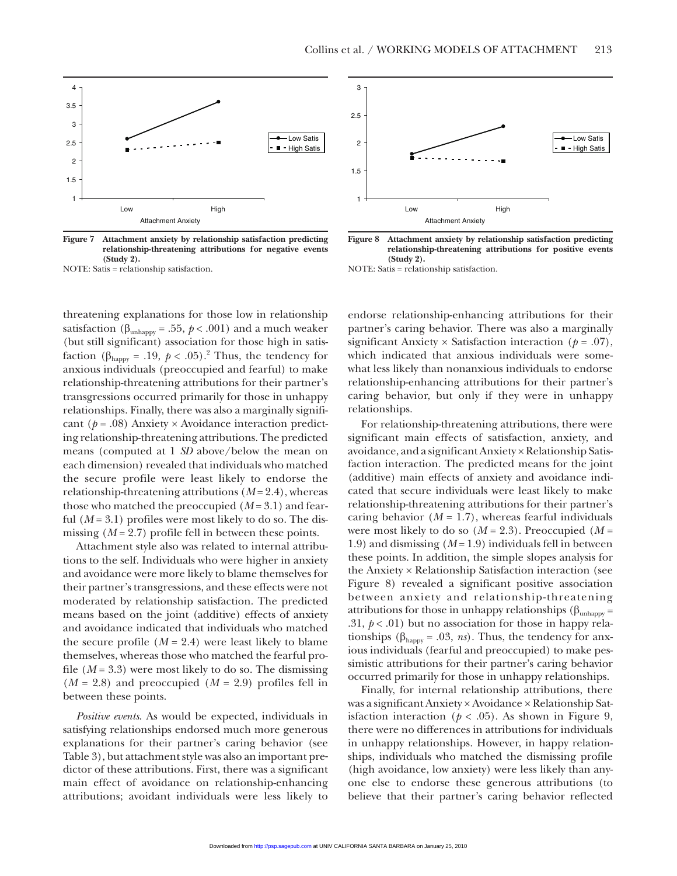

**Figure 7 Attachment anxiety by relationship satisfaction predicting relationship-threatening attributions for negative events (Study 2).**

NOTE: Satis = relationship satisfaction.

threatening explanations for those low in relationship satisfaction ( $\beta_{\text{unhappy}} = .55$ ,  $p < .001$ ) and a much weaker (but still significant) association for those high in satisfaction ( $\beta_{\text{happy}} = .19$ ,  $p < .05$ ).<sup>2</sup> Thus, the tendency for anxious individuals (preoccupied and fearful) to make relationship-threatening attributions for their partner's transgressions occurred primarily for those in unhappy relationships. Finally, there was also a marginally significant ( $p = .08$ ) Anxiety  $\times$  Avoidance interaction predicting relationship-threatening attributions. The predicted means (computed at 1 *SD* above/below the mean on each dimension) revealed that individuals who matched the secure profile were least likely to endorse the relationship-threatening attributions  $(M = 2.4)$ , whereas those who matched the preoccupied  $(M = 3.1)$  and fearful  $(M = 3.1)$  profiles were most likely to do so. The dismissing  $(M = 2.7)$  profile fell in between these points.

Attachment style also was related to internal attributions to the self. Individuals who were higher in anxiety and avoidance were more likely to blame themselves for their partner's transgressions, and these effects were not moderated by relationship satisfaction. The predicted means based on the joint (additive) effects of anxiety and avoidance indicated that individuals who matched the secure profile  $(M = 2.4)$  were least likely to blame themselves, whereas those who matched the fearful profile  $(M = 3.3)$  were most likely to do so. The dismissing  $(M = 2.8)$  and preoccupied  $(M = 2.9)$  profiles fell in between these points.

*Positive events*. As would be expected, individuals in satisfying relationships endorsed much more generous explanations for their partner's caring behavior (see Table 3), but attachment style was also an important predictor of these attributions. First, there was a significant main effect of avoidance on relationship-enhancing attributions; avoidant individuals were less likely to



**Figure 8 Attachment anxiety by relationship satisfaction predicting relationship-threatening attributions for positive events (Study 2).**

NOTE: Satis = relationship satisfaction.

endorse relationship-enhancing attributions for their partner's caring behavior. There was also a marginally significant Anxiety  $\times$  Satisfaction interaction ( $p = .07$ ), which indicated that anxious individuals were somewhat less likely than nonanxious individuals to endorse relationship-enhancing attributions for their partner's caring behavior, but only if they were in unhappy relationships.

For relationship-threatening attributions, there were significant main effects of satisfaction, anxiety, and avoidance, and a significant Anxiety  $\times$  Relationship Satisfaction interaction. The predicted means for the joint (additive) main effects of anxiety and avoidance indicated that secure individuals were least likely to make relationship-threatening attributions for their partner's caring behavior  $(M = 1.7)$ , whereas fearful individuals were most likely to do so  $(M = 2.3)$ . Preoccupied  $(M =$ 1.9) and dismissing (*M* = 1.9) individuals fell in between these points. In addition, the simple slopes analysis for the Anxiety × Relationship Satisfaction interaction (see Figure 8) revealed a significant positive association between anxiety and relationship-threatening attributions for those in unhappy relationships ( $\beta_{\text{unhappy}} =$ .31,  $p < .01$ ) but no association for those in happy relationships ( $\beta_{\text{happy}} = .03$ , *ns*). Thus, the tendency for anxious individuals (fearful and preoccupied) to make pessimistic attributions for their partner's caring behavior occurred primarily for those in unhappy relationships.

Finally, for internal relationship attributions, there was a significant Anxiety × Avoidance × Relationship Satisfaction interaction ( $p < .05$ ). As shown in Figure 9, there were no differences in attributions for individuals in unhappy relationships. However, in happy relationships, individuals who matched the dismissing profile (high avoidance, low anxiety) were less likely than anyone else to endorse these generous attributions (to believe that their partner's caring behavior reflected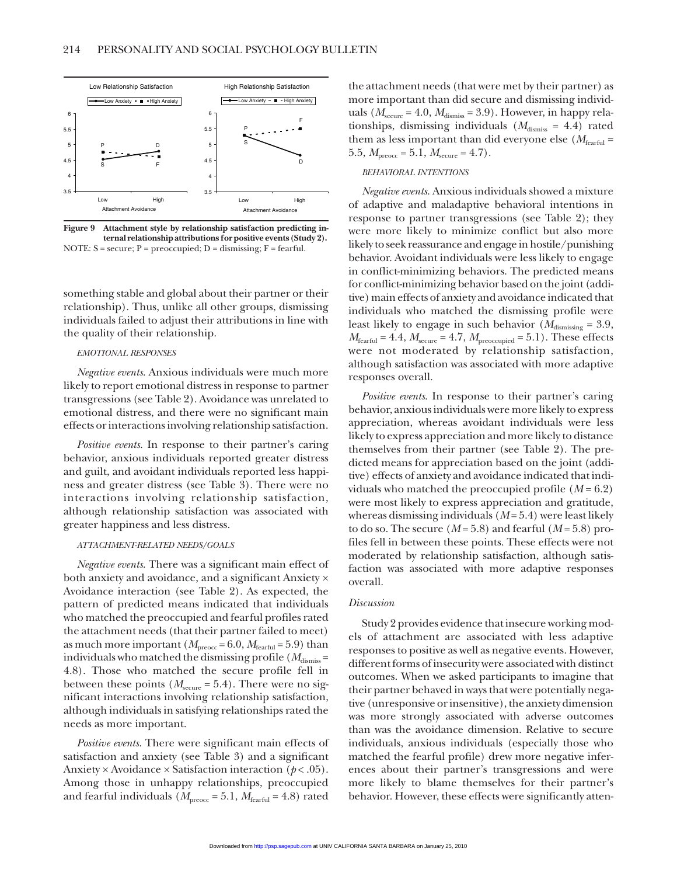

**Figure 9 Attachment style by relationship satisfaction predicting internal relationship attributions for positive events (Study 2).** NOTE: S = secure; P = preoccupied; D = dismissing; F = fearful.

something stable and global about their partner or their relationship). Thus, unlike all other groups, dismissing individuals failed to adjust their attributions in line with the quality of their relationship.

#### *EMOTIONAL RESPONSES*

*Negative events*. Anxious individuals were much more likely to report emotional distress in response to partner transgressions (see Table 2). Avoidance was unrelated to emotional distress, and there were no significant main effects or interactions involving relationship satisfaction.

*Positive events*. In response to their partner's caring behavior, anxious individuals reported greater distress and guilt, and avoidant individuals reported less happiness and greater distress (see Table 3). There were no interactions involving relationship satisfaction, although relationship satisfaction was associated with greater happiness and less distress.

#### *ATTACHMENT-RELATED NEEDS/GOALS*

*Negative events*. There was a significant main effect of both anxiety and avoidance, and a significant Anxiety  $\times$ Avoidance interaction (see Table 2). As expected, the pattern of predicted means indicated that individuals who matched the preoccupied and fearful profiles rated the attachment needs (that their partner failed to meet) as much more important ( $M_{\text{precoc}} = 6.0$ ,  $M_{\text{fearful}} = 5.9$ ) than individuals who matched the dismissing profile  $(M<sub>dismiss</sub> =$ 4.8). Those who matched the secure profile fell in between these points ( $M_{\text{secure}} = 5.4$ ). There were no significant interactions involving relationship satisfaction, although individuals in satisfying relationships rated the needs as more important.

*Positive events*. There were significant main effects of satisfaction and anxiety (see Table 3) and a significant Anxiety  $\times$  Avoidance  $\times$  Satisfaction interaction ( $p < .05$ ). Among those in unhappy relationships, preoccupied and fearful individuals ( $M_{\text{precoc}} = 5.1$ ,  $M_{\text{fearful}} = 4.8$ ) rated

the attachment needs (that were met by their partner) as more important than did secure and dismissing individuals ( $M_{\text{secure}} = 4.0$ ,  $M_{\text{dismiss}} = 3.9$ ). However, in happy relationships, dismissing individuals ( $M_{\text{dissmiss}} = 4.4$ ) rated them as less important than did everyone else ( $M_{\text{fearful}}$  = 5.5,  $M_{\text{precoc}} = 5.1, M_{\text{secure}} = 4.7$ .

#### *BEHAVIORAL INTENTIONS*

*Negative events*. Anxious individuals showed a mixture of adaptive and maladaptive behavioral intentions in response to partner transgressions (see Table 2); they were more likely to minimize conflict but also more likely to seek reassurance and engage in hostile/punishing behavior. Avoidant individuals were less likely to engage in conflict-minimizing behaviors. The predicted means for conflict-minimizing behavior based on the joint (additive) main effects of anxiety and avoidance indicated that individuals who matched the dismissing profile were least likely to engage in such behavior ( $M_{\text{dissmissing}} = 3.9$ ,  $M_{\text{feraful}} = 4.4$ ,  $M_{\text{secure}} = 4.7$ ,  $M_{\text{preoccupied}} = 5.1$ ). These effects were not moderated by relationship satisfaction, although satisfaction was associated with more adaptive responses overall.

*Positive events*. In response to their partner's caring behavior, anxious individuals were more likely to express appreciation, whereas avoidant individuals were less likely to express appreciation and more likely to distance themselves from their partner (see Table 2). The predicted means for appreciation based on the joint (additive) effects of anxiety and avoidance indicated that individuals who matched the preoccupied profile (*M* = 6.2) were most likely to express appreciation and gratitude, whereas dismissing individuals (*M* = 5.4) were least likely to do so. The secure (*M* = 5.8) and fearful (*M* = 5.8) profiles fell in between these points. These effects were not moderated by relationship satisfaction, although satisfaction was associated with more adaptive responses overall.

#### *Discussion*

Study 2 provides evidence that insecure working models of attachment are associated with less adaptive responses to positive as well as negative events. However, different forms of insecurity were associated with distinct outcomes. When we asked participants to imagine that their partner behaved in ways that were potentially negative (unresponsive or insensitive), the anxiety dimension was more strongly associated with adverse outcomes than was the avoidance dimension. Relative to secure individuals, anxious individuals (especially those who matched the fearful profile) drew more negative inferences about their partner's transgressions and were more likely to blame themselves for their partner's behavior. However, these effects were significantly atten-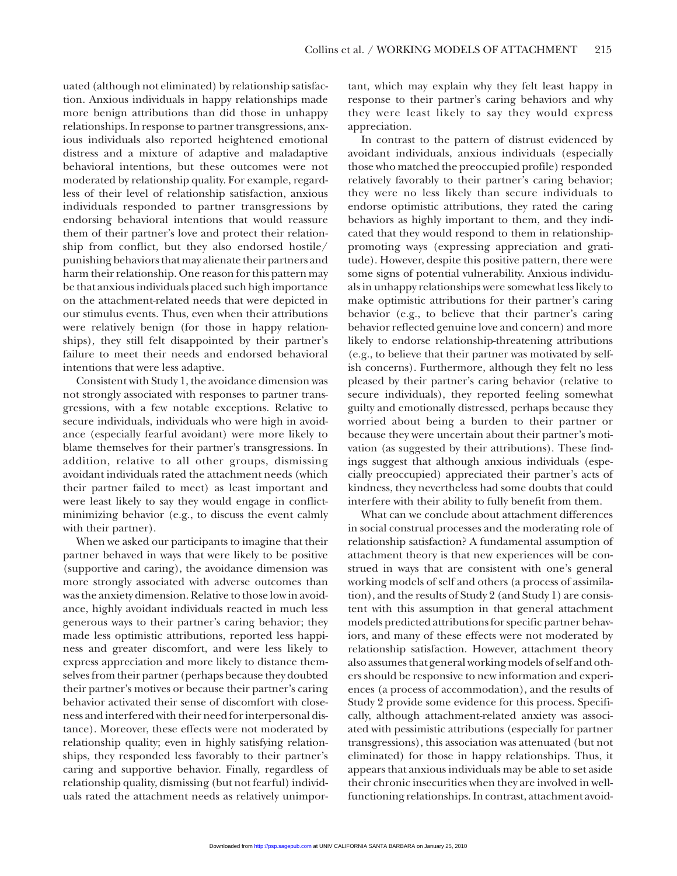uated (although not eliminated) by relationship satisfaction. Anxious individuals in happy relationships made more benign attributions than did those in unhappy relationships. In response to partner transgressions, anxious individuals also reported heightened emotional distress and a mixture of adaptive and maladaptive behavioral intentions, but these outcomes were not moderated by relationship quality. For example, regardless of their level of relationship satisfaction, anxious individuals responded to partner transgressions by endorsing behavioral intentions that would reassure them of their partner's love and protect their relationship from conflict, but they also endorsed hostile/ punishing behaviors that may alienate their partners and harm their relationship. One reason for this pattern may be that anxious individuals placed such high importance on the attachment-related needs that were depicted in our stimulus events. Thus, even when their attributions were relatively benign (for those in happy relationships), they still felt disappointed by their partner's failure to meet their needs and endorsed behavioral intentions that were less adaptive.

Consistent with Study 1, the avoidance dimension was not strongly associated with responses to partner transgressions, with a few notable exceptions. Relative to secure individuals, individuals who were high in avoidance (especially fearful avoidant) were more likely to blame themselves for their partner's transgressions. In addition, relative to all other groups, dismissing avoidant individuals rated the attachment needs (which their partner failed to meet) as least important and were least likely to say they would engage in conflictminimizing behavior (e.g., to discuss the event calmly with their partner).

When we asked our participants to imagine that their partner behaved in ways that were likely to be positive (supportive and caring), the avoidance dimension was more strongly associated with adverse outcomes than was the anxiety dimension. Relative to those low in avoidance, highly avoidant individuals reacted in much less generous ways to their partner's caring behavior; they made less optimistic attributions, reported less happiness and greater discomfort, and were less likely to express appreciation and more likely to distance themselves from their partner (perhaps because they doubted their partner's motives or because their partner's caring behavior activated their sense of discomfort with closeness and interfered with their need for interpersonal distance). Moreover, these effects were not moderated by relationship quality; even in highly satisfying relationships, they responded less favorably to their partner's caring and supportive behavior. Finally, regardless of relationship quality, dismissing (but not fearful) individuals rated the attachment needs as relatively unimportant, which may explain why they felt least happy in response to their partner's caring behaviors and why they were least likely to say they would express appreciation.

In contrast to the pattern of distrust evidenced by avoidant individuals, anxious individuals (especially those who matched the preoccupied profile) responded relatively favorably to their partner's caring behavior; they were no less likely than secure individuals to endorse optimistic attributions, they rated the caring behaviors as highly important to them, and they indicated that they would respond to them in relationshippromoting ways (expressing appreciation and gratitude). However, despite this positive pattern, there were some signs of potential vulnerability. Anxious individuals in unhappy relationships were somewhat less likely to make optimistic attributions for their partner's caring behavior (e.g., to believe that their partner's caring behavior reflected genuine love and concern) and more likely to endorse relationship-threatening attributions (e.g., to believe that their partner was motivated by selfish concerns). Furthermore, although they felt no less pleased by their partner's caring behavior (relative to secure individuals), they reported feeling somewhat guilty and emotionally distressed, perhaps because they worried about being a burden to their partner or because they were uncertain about their partner's motivation (as suggested by their attributions). These findings suggest that although anxious individuals (especially preoccupied) appreciated their partner's acts of kindness, they nevertheless had some doubts that could interfere with their ability to fully benefit from them.

What can we conclude about attachment differences in social construal processes and the moderating role of relationship satisfaction? A fundamental assumption of attachment theory is that new experiences will be construed in ways that are consistent with one's general working models of self and others (a process of assimilation), and the results of Study 2 (and Study 1) are consistent with this assumption in that general attachment models predicted attributions for specific partner behaviors, and many of these effects were not moderated by relationship satisfaction. However, attachment theory also assumes that general working models of self and others should be responsive to new information and experiences (a process of accommodation), and the results of Study 2 provide some evidence for this process. Specifically, although attachment-related anxiety was associated with pessimistic attributions (especially for partner transgressions), this association was attenuated (but not eliminated) for those in happy relationships. Thus, it appears that anxious individuals may be able to set aside their chronic insecurities when they are involved in wellfunctioning relationships. In contrast, attachment avoid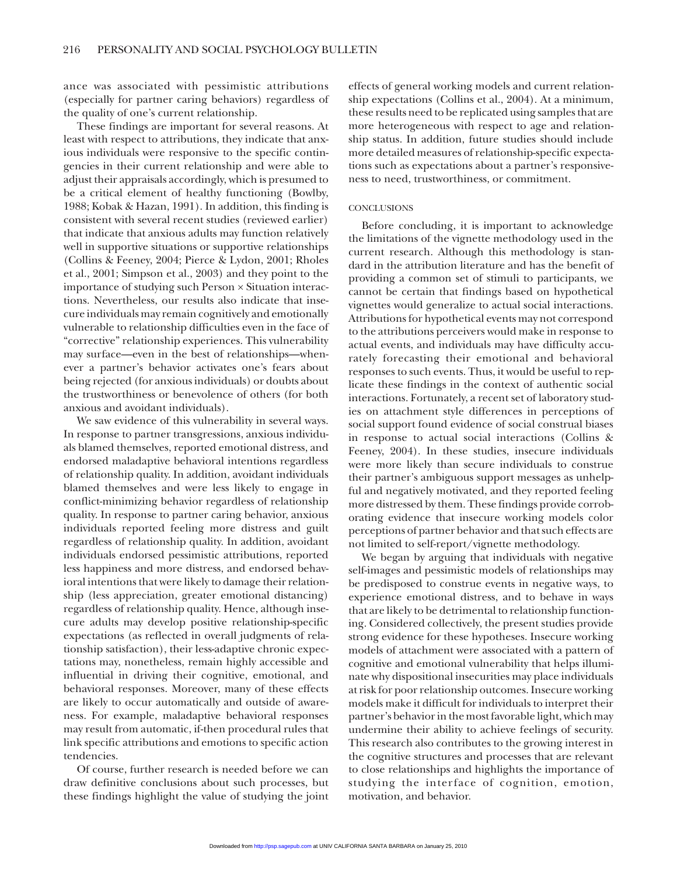ance was associated with pessimistic attributions (especially for partner caring behaviors) regardless of the quality of one's current relationship.

These findings are important for several reasons. At least with respect to attributions, they indicate that anxious individuals were responsive to the specific contingencies in their current relationship and were able to adjust their appraisals accordingly, which is presumed to be a critical element of healthy functioning (Bowlby, 1988; Kobak & Hazan, 1991). In addition, this finding is consistent with several recent studies (reviewed earlier) that indicate that anxious adults may function relatively well in supportive situations or supportive relationships (Collins & Feeney, 2004; Pierce & Lydon, 2001; Rholes et al., 2001; Simpson et al., 2003) and they point to the importance of studying such Person  $\times$  Situation interactions. Nevertheless, our results also indicate that insecure individuals may remain cognitively and emotionally vulnerable to relationship difficulties even in the face of "corrective" relationship experiences. This vulnerability may surface—even in the best of relationships—whenever a partner's behavior activates one's fears about being rejected (for anxious individuals) or doubts about the trustworthiness or benevolence of others (for both anxious and avoidant individuals).

We saw evidence of this vulnerability in several ways. In response to partner transgressions, anxious individuals blamed themselves, reported emotional distress, and endorsed maladaptive behavioral intentions regardless of relationship quality. In addition, avoidant individuals blamed themselves and were less likely to engage in conflict-minimizing behavior regardless of relationship quality. In response to partner caring behavior, anxious individuals reported feeling more distress and guilt regardless of relationship quality. In addition, avoidant individuals endorsed pessimistic attributions, reported less happiness and more distress, and endorsed behavioral intentions that were likely to damage their relationship (less appreciation, greater emotional distancing) regardless of relationship quality. Hence, although insecure adults may develop positive relationship-specific expectations (as reflected in overall judgments of relationship satisfaction), their less-adaptive chronic expectations may, nonetheless, remain highly accessible and influential in driving their cognitive, emotional, and behavioral responses. Moreover, many of these effects are likely to occur automatically and outside of awareness. For example, maladaptive behavioral responses may result from automatic, if-then procedural rules that link specific attributions and emotions to specific action tendencies.

Of course, further research is needed before we can draw definitive conclusions about such processes, but these findings highlight the value of studying the joint effects of general working models and current relationship expectations (Collins et al., 2004). At a minimum, these results need to be replicated using samples that are more heterogeneous with respect to age and relationship status. In addition, future studies should include more detailed measures of relationship-specific expectations such as expectations about a partner's responsiveness to need, trustworthiness, or commitment.

#### **CONCLUSIONS**

Before concluding, it is important to acknowledge the limitations of the vignette methodology used in the current research. Although this methodology is standard in the attribution literature and has the benefit of providing a common set of stimuli to participants, we cannot be certain that findings based on hypothetical vignettes would generalize to actual social interactions. Attributions for hypothetical events may not correspond to the attributions perceivers would make in response to actual events, and individuals may have difficulty accurately forecasting their emotional and behavioral responses to such events. Thus, it would be useful to replicate these findings in the context of authentic social interactions. Fortunately, a recent set of laboratory studies on attachment style differences in perceptions of social support found evidence of social construal biases in response to actual social interactions (Collins & Feeney, 2004). In these studies, insecure individuals were more likely than secure individuals to construe their partner's ambiguous support messages as unhelpful and negatively motivated, and they reported feeling more distressed by them. These findings provide corroborating evidence that insecure working models color perceptions of partner behavior and that such effects are not limited to self-report/vignette methodology.

We began by arguing that individuals with negative self-images and pessimistic models of relationships may be predisposed to construe events in negative ways, to experience emotional distress, and to behave in ways that are likely to be detrimental to relationship functioning. Considered collectively, the present studies provide strong evidence for these hypotheses. Insecure working models of attachment were associated with a pattern of cognitive and emotional vulnerability that helps illuminate why dispositional insecurities may place individuals at risk for poor relationship outcomes. Insecure working models make it difficult for individuals to interpret their partner's behavior in the most favorable light, which may undermine their ability to achieve feelings of security. This research also contributes to the growing interest in the cognitive structures and processes that are relevant to close relationships and highlights the importance of studying the interface of cognition, emotion, motivation, and behavior.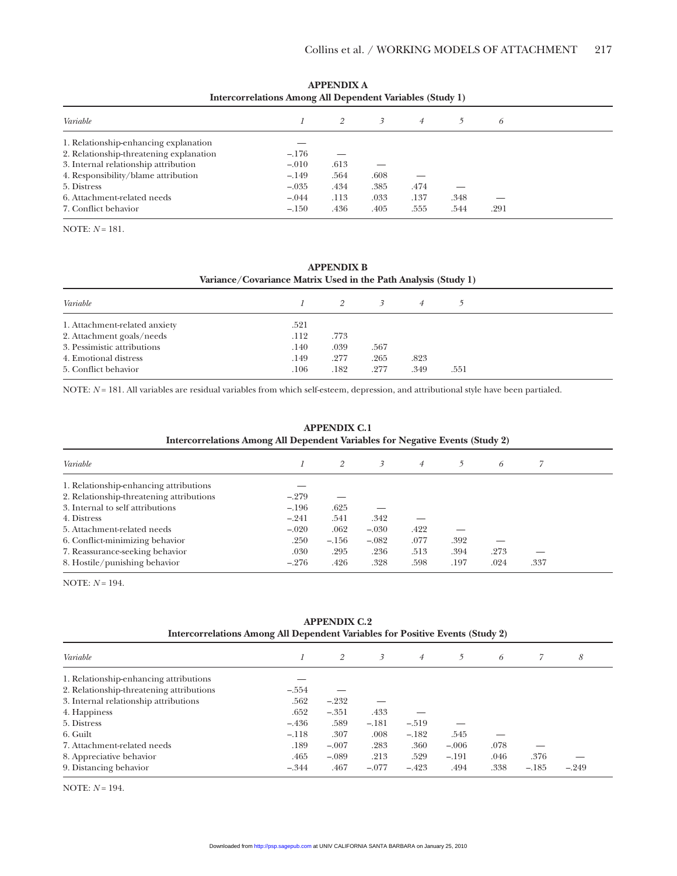|                                         | mercorrelations ranging ran Dependent variables (Staty 1) |      |      |                |      |      |  |
|-----------------------------------------|-----------------------------------------------------------|------|------|----------------|------|------|--|
| Variable                                |                                                           | 2    | 3    | $\overline{4}$ |      | 6    |  |
| 1. Relationship-enhancing explanation   |                                                           |      |      |                |      |      |  |
| 2. Relationship-threatening explanation | $-.176$                                                   |      |      |                |      |      |  |
| 3. Internal relationship attribution    | $-.010$                                                   | .613 |      |                |      |      |  |
| 4. Responsibility/blame attribution     | $-.149$                                                   | .564 | .608 |                |      |      |  |
| 5. Distress                             | $-.035$                                                   | .434 | .385 | .474           |      |      |  |
| 6. Attachment-related needs             | $-.044$                                                   | .113 | .033 | .137           | .348 |      |  |
| 7. Conflict behavior                    | $-.150$                                                   | .436 | .405 | .555           | .544 | .291 |  |

**APPENDIX A Intercorrelations Among All Dependent Variables (Study 1)**

NOTE: *N* = 181.

| <b>APPENDIX B</b>                                              |  |
|----------------------------------------------------------------|--|
| Variance/Covariance Matrix Used in the Path Analysis (Study 1) |  |

| Variable                      |      | 2    | 3    | $\overline{A}$ |      |
|-------------------------------|------|------|------|----------------|------|
| 1. Attachment-related anxiety | .521 |      |      |                |      |
| 2. Attachment goals/needs     | .112 | .773 |      |                |      |
| 3. Pessimistic attributions   | .140 | .039 | .567 |                |      |
| 4. Emotional distress         | .149 | .277 | .265 | .823           |      |
| 5. Conflict behavior          | .106 | .182 | .277 | .349           | .551 |

NOTE:  $N = 181$ . All variables are residual variables from which self-esteem, depression, and attributional style have been partialed.

| Intercorrelations Among All Dependent Variables for Negative Events (Study 2) |         |         |         |                |      |      |      |  |
|-------------------------------------------------------------------------------|---------|---------|---------|----------------|------|------|------|--|
| Variable                                                                      |         | 2       | 3       | $\overline{4}$ |      | 6    |      |  |
| 1. Relationship-enhancing attributions                                        |         |         |         |                |      |      |      |  |
| 2. Relationship-threatening attributions                                      | $-.279$ |         |         |                |      |      |      |  |
| 3. Internal to self attributions                                              | $-.196$ | .625    |         |                |      |      |      |  |
| 4. Distress                                                                   | $-.241$ | .541    | .342    |                |      |      |      |  |
| 5. Attachment-related needs                                                   | $-.020$ | .062    | $-.030$ | .422           |      |      |      |  |
| 6. Conflict-minimizing behavior                                               | .250    | $-.156$ | $-.082$ | .077           | .392 |      |      |  |
| 7. Reassurance-seeking behavior                                               | .030    | .295    | .236    | .513           | .394 | .273 |      |  |
| 8. Hostile/punishing behavior                                                 | $-.276$ | .426    | .328    | .598           | .197 | .024 | .337 |  |

**APPENDIX C.1**

NOTE: *N* = 194.

| <b>APPENDIX C.2</b>                                                           |  |  |  |  |  |  |  |  |  |
|-------------------------------------------------------------------------------|--|--|--|--|--|--|--|--|--|
| Intercorrelations Among All Dependent Variables for Positive Events (Study 2) |  |  |  |  |  |  |  |  |  |
|                                                                               |  |  |  |  |  |  |  |  |  |

| Variable                                 |         | 2       | 3       | 4       |         | 6    |         | 8       |
|------------------------------------------|---------|---------|---------|---------|---------|------|---------|---------|
| 1. Relationship-enhancing attributions   |         |         |         |         |         |      |         |         |
| 2. Relationship-threatening attributions | $-.554$ |         |         |         |         |      |         |         |
| 3. Internal relationship attributions    | .562    | $-.232$ |         |         |         |      |         |         |
| 4. Happiness                             | .652    | $-.351$ | .433    |         |         |      |         |         |
| 5. Distress                              | $-.436$ | .589    | $-.181$ | $-.519$ |         |      |         |         |
| 6. Guilt                                 | $-.118$ | .307    | .008    | $-.182$ | .545    |      |         |         |
| 7. Attachment-related needs              | .189    | $-.007$ | .283    | .360    | $-.006$ | .078 |         |         |
| 8. Appreciative behavior                 | .465    | $-.089$ | .213    | .529    | $-.191$ | .046 | .376    |         |
| 9. Distancing behavior                   | $-.344$ | .467    | $-.077$ | $-.423$ | .494    | .338 | $-.185$ | $-.249$ |

NOTE: *N* = 194.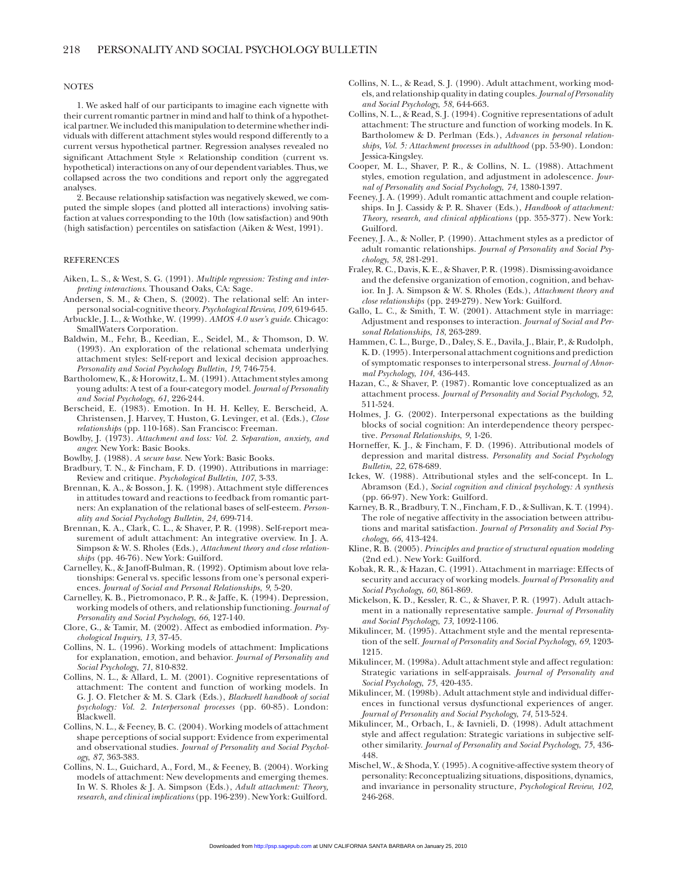#### **NOTES**

1. We asked half of our participants to imagine each vignette with their current romantic partner in mind and half to think of a hypothetical partner. We included this manipulation to determine whether individuals with different attachment styles would respond differently to a current versus hypothetical partner. Regression analyses revealed no significant Attachment Style × Relationship condition (current vs. hypothetical) interactions on any of our dependent variables. Thus, we collapsed across the two conditions and report only the aggregated analyses.

2. Because relationship satisfaction was negatively skewed, we computed the simple slopes (and plotted all interactions) involving satisfaction at values corresponding to the 10th (low satisfaction) and 90th (high satisfaction) percentiles on satisfaction (Aiken & West, 1991).

#### **REFERENCES**

- Aiken, L. S., & West, S. G. (1991). *Multiple regression: Testing and interpreting interactions*. Thousand Oaks, CA: Sage.
- Andersen, S. M., & Chen, S. (2002). The relational self: An interpersonal social-cognitive theory. *Psychological Review*, *109*, 619-645.
- Arbuckle, J. L., & Wothke, W. (1999). *AMOS 4.0 user's guide*. Chicago: SmallWaters Corporation.
- Baldwin, M., Fehr, B., Keedian, E., Seidel, M., & Thomson, D. W. (1993). An exploration of the relational schemata underlying attachment styles: Self-report and lexical decision approaches. *Personality and Social Psychology Bulletin*, *19*, 746-754.
- Bartholomew, K., & Horowitz, L. M. (1991). Attachment styles among young adults: A test of a four-category model. *Journal of Personality and Social Psychology*, *61*, 226-244.
- Berscheid, E. (1983). Emotion. In H. H. Kelley, E. Berscheid, A. Christensen, J. Harvey, T. Huston, G. Levinger, et al. (Eds.), *Close relationships* (pp. 110-168). San Francisco: Freeman.
- Bowlby, J. (1973). *Attachment and loss: Vol. 2. Separation, anxiety, and anger*. New York: Basic Books.
- Bowlby, J. (1988). *A secure base*. New York: Basic Books.
- Bradbury, T. N., & Fincham, F. D. (1990). Attributions in marriage: Review and critique. *Psychological Bulletin*, *107*, 3-33.
- Brennan, K. A., & Bosson, J. K. (1998). Attachment style differences in attitudes toward and reactions to feedback from romantic partners: An explanation of the relational bases of self-esteem. *Personality and Social Psychology Bulletin*, *24*, 699-714.
- Brennan, K. A., Clark, C. L., & Shaver, P. R. (1998). Self-report measurement of adult attachment: An integrative overview. In J. A. Simpson & W. S. Rholes (Eds.), *Attachment theory and close relationships* (pp. 46-76). New York: Guilford.
- Carnelley, K., & Janoff-Bulman, R. (1992). Optimism about love relationships: General vs. specific lessons from one's personal experiences. *Journal of Social and Personal Relationships*, *9*, 5-20.
- Carnelley, K. B., Pietromonaco, P. R., & Jaffe, K. (1994). Depression, working models of others, and relationship functioning. *Journal of Personality and Social Psychology*, *66*, 127-140.
- Clore, G., & Tamir, M. (2002). Affect as embodied information. *Psychological Inquiry*, *13*, 37-45.
- Collins, N. L. (1996). Working models of attachment: Implications for explanation, emotion, and behavior. *Journal of Personality and Social Psychology*, *71*, 810-832.
- Collins, N. L., & Allard, L. M. (2001). Cognitive representations of attachment: The content and function of working models. In G. J. O. Fletcher & M. S. Clark (Eds.), *Blackwell handbook of social psychology: Vol. 2. Interpersonal processes* (pp. 60-85). London: Blackwell.
- Collins, N. L., & Feeney, B. C. (2004). Working models of attachment shape perceptions of social support: Evidence from experimental and observational studies. *Journal of Personality and Social Psychology*, *87*, 363-383.
- Collins, N. L., Guichard, A., Ford, M., & Feeney, B. (2004). Working models of attachment: New developments and emerging themes. In W. S. Rholes & J. A. Simpson (Eds.), *Adult attachment: Theory, research, and clinical implications* (pp. 196-239). New York: Guilford.
- Collins, N. L., & Read, S. J. (1990). Adult attachment, working models, and relationship quality in dating couples. *Journal of Personality and Social Psychology*, *58*, 644-663.
- Collins, N. L., & Read, S. J. (1994). Cognitive representations of adult attachment: The structure and function of working models. In K. Bartholomew & D. Perlman (Eds.), *Advances in personal relationships, Vol. 5: Attachment processes in adulthood* (pp. 53-90). London: Jessica-Kingsley.
- Cooper, M. L., Shaver, P. R., & Collins, N. L. (1988). Attachment styles, emotion regulation, and adjustment in adolescence. *Journal of Personality and Social Psychology*, *74*, 1380-1397.
- Feeney, J. A. (1999). Adult romantic attachment and couple relationships. In J. Cassidy & P. R. Shaver (Eds.), *Handbook of attachment: Theory, research, and clinical applications* (pp. 355-377). New York: Guilford.
- Feeney, J. A., & Noller, P. (1990). Attachment styles as a predictor of adult romantic relationships. *Journal of Personality and Social Psychology*, *58*, 281-291.
- Fraley, R. C., Davis, K. E., & Shaver, P. R. (1998). Dismissing-avoidance and the defensive organization of emotion, cognition, and behavior. In J. A. Simpson & W. S. Rholes (Eds.), *Attachment theory and close relationships* (pp. 249-279). New York: Guilford.
- Gallo, L. C., & Smith, T. W. (2001). Attachment style in marriage: Adjustment and responses to interaction. *Journal of Social and Personal Relationships*, *18*, 263-289.
- Hammen, C. L., Burge, D., Daley, S. E., Davila, J., Blair, P., & Rudolph, K. D. (1995). Interpersonal attachment cognitions and prediction of symptomatic responses to interpersonal stress. *Journal of Abnormal Psychology*, *104*, 436-443.
- Hazan, C., & Shaver, P. (1987). Romantic love conceptualized as an attachment process. *Journal of Personality and Social Psychology*, *52*, 511-524.
- Holmes, J. G. (2002). Interpersonal expectations as the building blocks of social cognition: An interdependence theory perspective. *Personal Relationships*, *9*, 1-26.
- Horneffer, K. J., & Fincham, F. D. (1996). Attributional models of depression and marital distress. *Personality and Social Psychology Bulletin*, *22*, 678-689.
- Ickes, W. (1988). Attributional styles and the self-concept. In L. Abramson (Ed.), *Social cognition and clinical psychology: A synthesis* (pp. 66-97). New York: Guilford.
- Karney, B. R., Bradbury, T. N., Fincham, F. D., & Sullivan, K. T. (1994). The role of negative affectivity in the association between attributions and marital satisfaction. *Journal of Personality and Social Psychology*, *66*, 413-424.
- Kline, R. B. (2005). *Principles and practice of structural equation modeling* (2nd ed.). New York: Guilford.
- Kobak, R. R., & Hazan, C. (1991). Attachment in marriage: Effects of security and accuracy of working models. *Journal of Personality and Social Psychology*, *60*, 861-869.
- Mickelson, K. D., Kessler, R. C., & Shaver, P. R. (1997). Adult attachment in a nationally representative sample. *Journal of Personality and Social Psychology*, *73*, 1092-1106.
- Mikulincer, M. (1995). Attachment style and the mental representation of the self. *Journal of Personality and Social Psychology*, *69*, 1203- 1215.
- Mikulincer, M. (1998a). Adult attachment style and affect regulation: Strategic variations in self-appraisals. *Journal of Personality and Social Psychology*, *75*, 420-435.
- Mikulincer, M. (1998b). Adult attachment style and individual differences in functional versus dysfunctional experiences of anger. *Journal of Personality and Social Psychology*, *74*, 513-524.
- Mikulincer, M., Orbach, I., & Iavnieli, D. (1998). Adult attachment style and affect regulation: Strategic variations in subjective selfother similarity. *Journal of Personality and Social Psychology*, *75*, 436- 448.
- Mischel, W., & Shoda, Y. (1995). A cognitive-affective system theory of personality: Reconceptualizing situations, dispositions, dynamics, and invariance in personality structure, *Psychological Review*, *102*, 246-268.